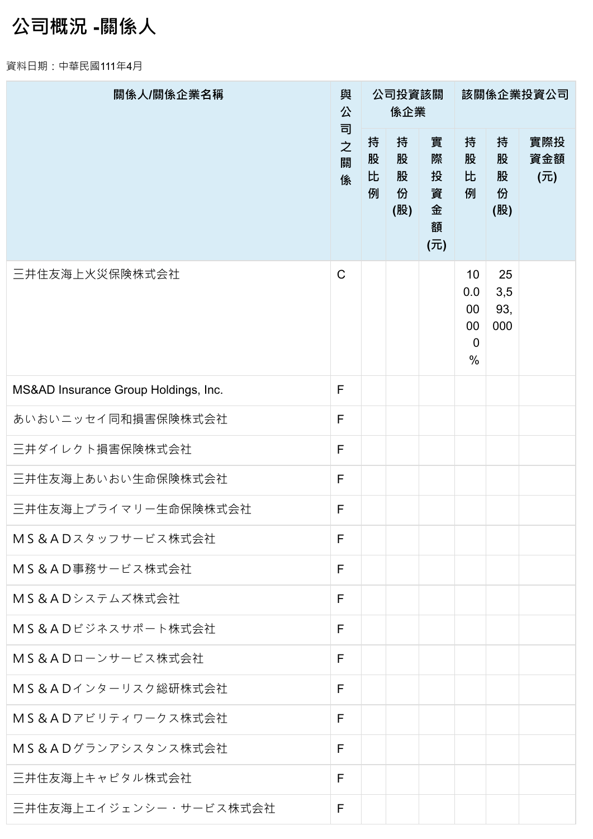## **公司概況 -關係人**

資料日期:中華民國111年4月

| 關係人/關係企業名稱                           | 與<br>公           |                  | 公司投資該關<br>係企業           |                                   | 該關係企業投資公司                                                        |                         |                   |  |  |
|--------------------------------------|------------------|------------------|-------------------------|-----------------------------------|------------------------------------------------------------------|-------------------------|-------------------|--|--|
|                                      | 司<br>之<br>關<br>係 | 持<br>股<br>比<br>例 | 持<br>股<br>股<br>份<br>(股) | 實<br>際<br>投<br>資<br>金<br>額<br>(元) | 持<br>股<br>比<br>例                                                 | 持<br>股<br>股<br>份<br>(股) | 實際投<br>資金額<br>(元) |  |  |
| 三井住友海上火災保険株式会社                       | $\mathsf{C}$     |                  |                         |                                   | 10<br>0.0<br>$00\,$<br>$00\,$<br>$\overline{0}$<br>$\frac{0}{0}$ | 25<br>3,5<br>93,<br>000 |                   |  |  |
| MS&AD Insurance Group Holdings, Inc. | F                |                  |                         |                                   |                                                                  |                         |                   |  |  |
| あいおいニッセイ同和損害保険株式会社                   | F                |                  |                         |                                   |                                                                  |                         |                   |  |  |
| 三井ダイレクト損害保険株式会社                      | F                |                  |                         |                                   |                                                                  |                         |                   |  |  |
| 三井住友海上あいおい生命保険株式会社                   | F                |                  |                         |                                   |                                                                  |                         |                   |  |  |
| 三井住友海上プライマリー生命保険株式会社                 | F                |                  |                         |                                   |                                                                  |                         |                   |  |  |
| MS&ADスタッフサービス株式会社                    | F                |                  |                         |                                   |                                                                  |                         |                   |  |  |
| MS&AD事務サービス株式会社                      | F                |                  |                         |                                   |                                                                  |                         |                   |  |  |
| MS&ADシステムズ株式会社                       | F                |                  |                         |                                   |                                                                  |                         |                   |  |  |
| MS&ADビジネスサポート株式会社                    | F                |                  |                         |                                   |                                                                  |                         |                   |  |  |
| MS&ADローンサービス株式会社                     | F                |                  |                         |                                   |                                                                  |                         |                   |  |  |
| MS&ADインターリスク総研株式会社                   | F                |                  |                         |                                   |                                                                  |                         |                   |  |  |
| MS&ADアビリティワークス株式会社                   | F                |                  |                         |                                   |                                                                  |                         |                   |  |  |
| MS&ADグランアシスタンス株式会社                   | F                |                  |                         |                                   |                                                                  |                         |                   |  |  |
| 三井住友海上キャピタル株式会社                      | F                |                  |                         |                                   |                                                                  |                         |                   |  |  |
| 三井住友海上エイジェンシー・サービス株式会社               | F                |                  |                         |                                   |                                                                  |                         |                   |  |  |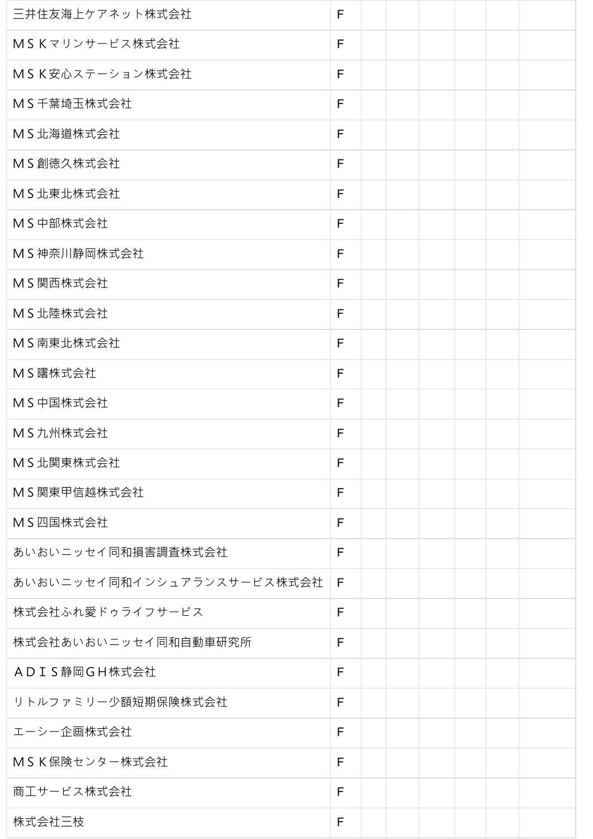| 三井住友海上ケアネット株式会社            | F |  |  |  |
|----------------------------|---|--|--|--|
| MSKマリンサービス株式会社             | F |  |  |  |
| MSK安心ステーション株式会社            | F |  |  |  |
| MS千葉埼玉株式会社                 | F |  |  |  |
| MS北海道株式会社                  | F |  |  |  |
| MS創徳久株式会社                  | F |  |  |  |
| MS北東北株式会社                  | F |  |  |  |
| MS中部株式会社                   | F |  |  |  |
| MS神奈川静岡株式会社                | F |  |  |  |
| MS関西株式会社                   | F |  |  |  |
| MS北陸株式会社                   | F |  |  |  |
| MS南東北株式会社                  | F |  |  |  |
| MS曙株式会社                    | F |  |  |  |
| MS中国株式会社                   | F |  |  |  |
| MS九州株式会社                   | F |  |  |  |
| MS北関東株式会社                  | F |  |  |  |
| MS関東甲信越株式会社                | F |  |  |  |
| MS四国株式会社                   | F |  |  |  |
| あいおいニッセイ同和損害調査株式会社         | F |  |  |  |
| あいおいニッセイ同和インシュアランスサービス株式会社 | F |  |  |  |
| 株式会社ふれ愛ドゥライフサービス           | F |  |  |  |
| 株式会社あいおいニッセイ同和自動車研究所       | F |  |  |  |
| ADIS静岡GH株式会社               | F |  |  |  |
| リトルファミリー少額短期保険株式会社         | F |  |  |  |
| エーシー企画株式会社                 | F |  |  |  |
| MSK保険センター株式会社              | F |  |  |  |
| 商工サービス株式会社                 | F |  |  |  |
| 株式会社三枝                     | F |  |  |  |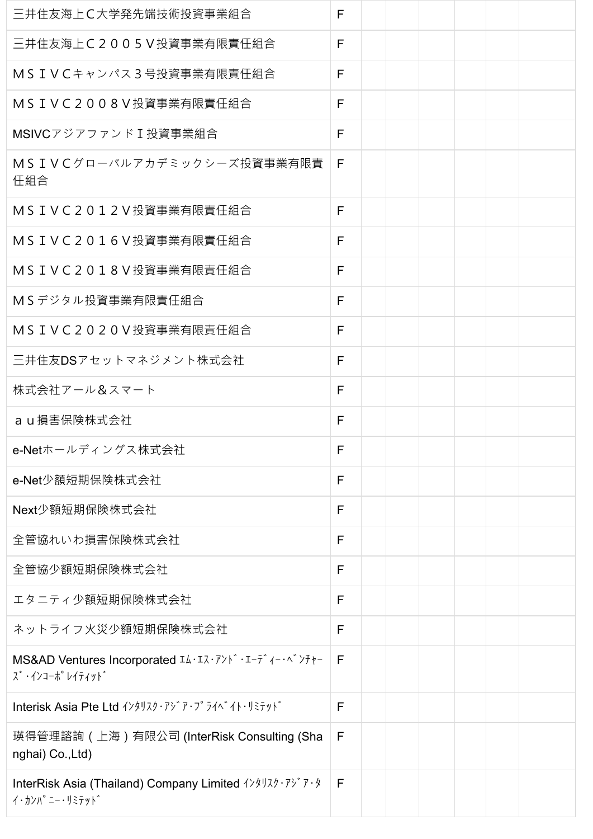| 三井住友海上C大学発先端技術投資事業組合                                                                                                                         | F |  |  |  |
|----------------------------------------------------------------------------------------------------------------------------------------------|---|--|--|--|
| 三井住友海上C2005V投資事業有限責任組合                                                                                                                       | F |  |  |  |
| MSIVCキャンパス3号投資事業有限責任組合                                                                                                                       | F |  |  |  |
| MSIVC2008V投資事業有限責任組合                                                                                                                         | F |  |  |  |
| MSIVCアジアファンドI投資事業組合                                                                                                                          | F |  |  |  |
| MSIVCグローバルアカデミックシーズ投資事業有限責<br>任組合                                                                                                            | F |  |  |  |
| MSIVC2012V投資事業有限責任組合                                                                                                                         | F |  |  |  |
| MSIVC2016V投資事業有限責任組合                                                                                                                         | F |  |  |  |
| MSIVC2018V投資事業有限責任組合                                                                                                                         | F |  |  |  |
| MSデジタル投資事業有限責任組合                                                                                                                             | F |  |  |  |
| MSIVC2020V投資事業有限責任組合                                                                                                                         | F |  |  |  |
| 三井住友DSアセットマネジメント株式会社                                                                                                                         | F |  |  |  |
| 株式会社アール&スマート                                                                                                                                 | F |  |  |  |
| a u 損害保険株式会社                                                                                                                                 | F |  |  |  |
| e-Netホールディングス株式会社                                                                                                                            | F |  |  |  |
| e-Net少額短期保険株式会社                                                                                                                              | F |  |  |  |
| Next少額短期保険株式会社                                                                                                                               | F |  |  |  |
| 全管協れいわ損害保険株式会社                                                                                                                               | F |  |  |  |
| 全管協少額短期保険株式会社                                                                                                                                | F |  |  |  |
| エタニティ少額短期保険株式会社                                                                                                                              | F |  |  |  |
| ネットライフ火災少額短期保険株式会社                                                                                                                           | F |  |  |  |
| MS&AD Ventures Incorporated IA·IZ·アンド・エーディー・ベンチャー<br><b>ズ ·インコーポ レイティット</b> ゛                                                                | F |  |  |  |
| Interisk Asia Pte Ltd $\{\frac{1}{2}, \frac{1}{2}, \frac{1}{2}, \frac{1}{2}\}$ $\{\frac{1}{2}, \frac{1}{2}\}$ $\{\frac{1}{2}, \frac{1}{2}\}$ | F |  |  |  |
| 瑛得管理諮詢(上海)有限公司 (InterRisk Consulting (Sha<br>nghai) Co., Ltd)                                                                                | F |  |  |  |
| InterRisk Asia (Thailand) Company Limited インタリスク・アシア・タ<br>イ・カンハ°ニー・リミテット゛                                                                    | F |  |  |  |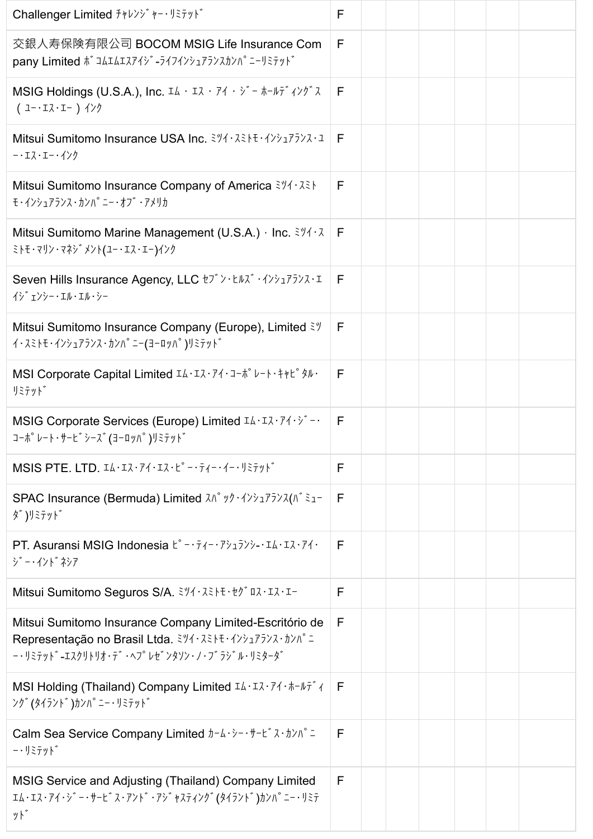| Challenger Limited チャレンジ ャー・リミテット                                                                                                                                                                                                                                 | F |  |  |  |
|-------------------------------------------------------------------------------------------------------------------------------------------------------------------------------------------------------------------------------------------------------------------|---|--|--|--|
| 交銀人寿保険有限公司 BOCOM MSIG Life Insurance Com<br>pany Limited $\hbar^2$ JAIAIスアイジ -ライフインシュアランスカンパ ニーリミテット                                                                                                                                                              | F |  |  |  |
| MSIG Holdings (U.S.A.), Inc. $I\Delta \cdot I\lambda \cdot 74 \cdot 5 = \pi - 15 \cdot 72$<br>$(1 - 17.1 - )$ $\left\{\frac{1}{2}\right\}$                                                                                                                        | F |  |  |  |
| Mitsui Sumitomo Insurance USA Inc. ミツイ・スミトモ・インシュアランス・ユ<br>-・エス・エー・インク                                                                                                                                                                                             | F |  |  |  |
| Mitsui Sumitomo Insurance Company of America $\frac{3\sqrt{7}}{2}$<br>モ・インシュアランス・カンパ ニー・オブ ・アメリカ                                                                                                                                                                  | F |  |  |  |
| Mitsui Sumitomo Marine Management (U.S.A.) · Inc. $3\frac{1}{4}$ .<br>ミトモ・マリン・マネシ゛メント(ユー・エス・エー)インク                                                                                                                                                                | F |  |  |  |
| Seven Hills Insurance Agency, LLC t7* > · thx* · インシュアランス・I<br>イシ゛ェンシー・エル・エル・シー                                                                                                                                                                                   | F |  |  |  |
| Mitsui Sumitomo Insurance Company (Europe), Limited $\tilde{\xi}$<br>イ・スミトモ・インシュアランス・カンハ°ニー(ヨーロッハ°)リミテット゛                                                                                                                                                         | F |  |  |  |
| MSI Corporate Capital Limited IA·IZ·74·J-*° V-I·++L° タル·<br>リミテット゛                                                                                                                                                                                                | F |  |  |  |
| MSIG Corporate Services (Europe) Limited IA·IR·74·>> -·<br>コーポ°レート・サーヒ゛シース゛(ヨーロッハ°)リミテット゛                                                                                                                                                                         | F |  |  |  |
| MSIS PTE. LTD. $IA \cdot I \lambda \cdot I \lambda \cdot I \lambda \cdot L^{\circ} - \overline{I} \lambda \cdot \overline{I} - \overline{I} \cdot \overline{I} - \overline{I} \cdot \overline{I}$                                                                 | F |  |  |  |
| SPAC Insurance (Bermuda) Limited $\lambda \Lambda^{\circ} \gamma y \cdot (\lambda \gamma_1 \gamma_2 \gamma_3) \lambda (\Lambda^{\circ} \xi_1 -$<br>ダ)リミテット゛                                                                                                       | F |  |  |  |
| PT. Asuransi MSIG Indonesia $k^{\circ} - \overline{z}$ $(-\overline{z} - \overline{z})$ $(-\overline{z})$ $(-1\overline{z})$<br>ジー・インドネシア                                                                                                                         | F |  |  |  |
| Mitsui Sumitomo Seguros S/A. ミツイ・スミトモ・セグ ロス・エス・エー                                                                                                                                                                                                                 | F |  |  |  |
| Mitsui Sumitomo Insurance Company Limited-Escritório de<br>Representação no Brasil Ltda. ミツイ・スミトモ・インシュアランス・カンパニ<br>$-$ ・リミテッド-エスクリトリオ・デ゙・ヘプレゼ゙ンタソン・ノ・ブ ラジ゙ル・リミターダ゙                                                                                                | F |  |  |  |
| MSI Holding (Thailand) Company Limited IA·IX·74· $\hbar-\hbar\hbar\hbar$ 4<br>ング (タイラント *)カンハ ゚ニー・リミテット *                                                                                                                                                         | F |  |  |  |
| Calm Sea Service Company Limited $\frac{1}{d}$ - $\frac{1}{d}$ . $\frac{1}{d}$ . $\frac{1}{d}$ . $\frac{1}{d}$ . $\frac{1}{d}$ . $\frac{1}{d}$<br>$ \cdot$ $\overline{$ $\overline{z}$ $\overline{z}$ $\overline{y}$ $\overline{y}$ $\overline{y}$ $\overline{y}$ | F |  |  |  |
| MSIG Service and Adjusting (Thailand) Company Limited<br>Iム・Iス・アイ・ジ゙ー・サービ゙ス・アンド・アジ゙ャスティング (タイランド)カンハ°ニー・リミテ<br>ット゛                                                                                                                                                | F |  |  |  |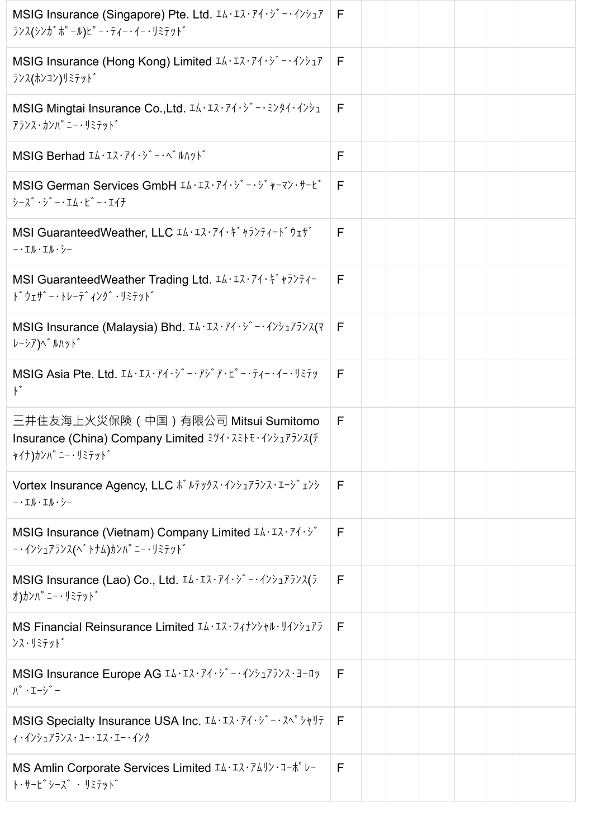| MSIG Insurance (Singapore) Pte. Ltd. IA·IR·74·> -· 4>>17<br>ランス(シンカ゛ポ゜ール) ピ゜ー・ティー・イー・リミテット゛                                                                                                                                                                                                                                                                                                                                                              | F |  |  |  |
|----------------------------------------------------------------------------------------------------------------------------------------------------------------------------------------------------------------------------------------------------------------------------------------------------------------------------------------------------------------------------------------------------------------------------------------------------------|---|--|--|--|
| MSIG Insurance (Hong Kong) Limited IA·IZ·74·> -· インシュア<br>ランス(ホンコン)リミテット゛                                                                                                                                                                                                                                                                                                                                                                                | F |  |  |  |
| MSIG Mingtai Insurance Co., Ltd. IL·IR·74·> -· 3>44·4>>1<br>アランス・カンハ°ニー・リミテット゛                                                                                                                                                                                                                                                                                                                                                                           | F |  |  |  |
| MSIG Berhad IL·IZ·71·> -- ^ My>                                                                                                                                                                                                                                                                                                                                                                                                                          | F |  |  |  |
| MSIG German Services GmbH IA·Iス·アイ·ジー·ジャーマン·サービ<br>$\dot{y}$ - $\ddot{\lambda}$ $\dot{\lambda}$ - $\cdot$ $\Delta$ + $\dot{\lambda}$ + $\dot{\lambda}$ + $\dot{\lambda}$ + $\dot{\lambda}$ + $\dot{\lambda}$ + $\dot{\lambda}$ + $\dot{\lambda}$ + $\dot{\lambda}$ + $\dot{\lambda}$ + $\dot{\lambda}$ + $\dot{\lambda}$ + $\dot{\lambda}$ + $\dot{\lambda}$ + $\dot{\lambda}$ + $\dot{\lambda}$ + $\dot{\lambda}$ + $\dot{\lambda}$ + $\dot{\lambda}$ + | F |  |  |  |
| MSI GuaranteedWeather, LLC IA·IR·アイ・ギャランティート゛ウェザ゛<br>-· エル・エル・シー                                                                                                                                                                                                                                                                                                                                                                                         | F |  |  |  |
| MSI GuaranteedWeather Trading Ltd. IL: IR: 74: #777-7-<br>ドウェザー・トレーディング・リミテッド                                                                                                                                                                                                                                                                                                                                                                            | F |  |  |  |
| MSIG Insurance (Malaysia) Bhd. IA·IR·74·> -· 4>>175>2(7<br>レーシア)へ゛ルハット゛                                                                                                                                                                                                                                                                                                                                                                                  | F |  |  |  |
| MSIG Asia Pte. Ltd. IL·IR·74·> -· 7> 7· L° -· 71-· 1-· 137<br>${F_{\ast}}$                                                                                                                                                                                                                                                                                                                                                                               | F |  |  |  |
| 三井住友海上火災保険(中国)有限公司 Mitsui Sumitomo<br>Insurance (China) Company Limited ミツイ・スミトモ・インシュアランス(チ<br>ャイナ)カンハ°ニー・リミテット゛                                                                                                                                                                                                                                                                                                                                         | F |  |  |  |
| Vortex Insurance Agency, LLC $\pi^* \nu \bar{\tau} \nu \gamma \lambda \cdot (1 + \lambda \tau) \bar{\tau} \gamma \lambda \cdot (1 + \lambda \tau) \bar{\tau}$<br>-· エル・エル・シー                                                                                                                                                                                                                                                                             | F |  |  |  |
| MSIG Insurance (Vietnam) Company Limited IL·IR·74·><br>ー・インシュアランス(ベトナム)カンパニー・リミテッド                                                                                                                                                                                                                                                                                                                                                                       | F |  |  |  |
| MSIG Insurance (Lao) Co., Ltd. IL·IR·74·> -· インシュアランス(ラ<br>オ)カンハ°ニー・リミテット゛                                                                                                                                                                                                                                                                                                                                                                               | F |  |  |  |
| MS Financial Reinsurance Limited IL·IX·7(+>>+N· 14>>177<br><b>ンス・リミテット</b> ゛                                                                                                                                                                                                                                                                                                                                                                             | F |  |  |  |
| MSIG Insurance Europe AG IA·IR·74·> -· インシュアランス・ヨーロッ<br>$\Lambda^{\circ}$ $\cdot$ I - $\dot{\gamma}$ $\dot{\gamma}$ -                                                                                                                                                                                                                                                                                                                                    | F |  |  |  |
| MSIG Specialty Insurance USA Inc. IL·IZ·74·> -· 7^° >+17<br>イ・インシュアランス・ユー・エス・エー・インク                                                                                                                                                                                                                                                                                                                                                                      | F |  |  |  |
| MS Amlin Corporate Services Limited IL·IZ·74リン·コーポ レー<br>ト・サービ゛シーズ゛ ・ リミテット゛                                                                                                                                                                                                                                                                                                                                                                             | F |  |  |  |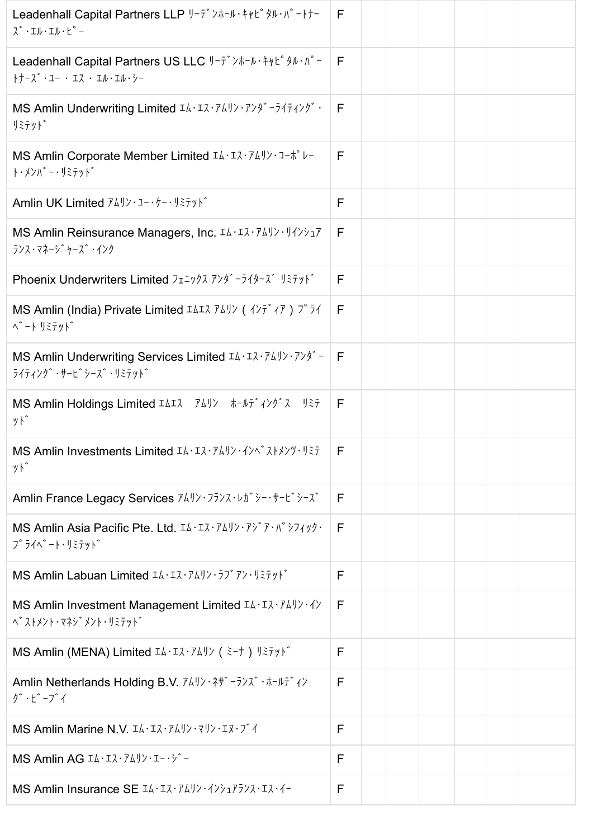| Leadenhall Capital Partners LLP リーテ゛ンホール・キャヒ゜タル・パ゜ートナー<br>$\lambda^*$ · I $\nu$ · I $\nu$ · $\mu^{\circ}$ -                                                                                                                                                                                                                                                                                                                                                                                        | F |  |  |  |
|----------------------------------------------------------------------------------------------------------------------------------------------------------------------------------------------------------------------------------------------------------------------------------------------------------------------------------------------------------------------------------------------------------------------------------------------------------------------------------------------------|---|--|--|--|
| Leadenhall Capital Partners US LLC リーデンホール・キャピタル・パー<br>トナーズ・ユー ・エス ・エル・エル・シー                                                                                                                                                                                                                                                                                                                                                                                                                       | E |  |  |  |
| MS Amlin Underwriting Limited IL·IZ· 74 J) · 7 > 4" - 5 4 7 4 > 5"<br>リミテット゛                                                                                                                                                                                                                                                                                                                                                                                                                       | E |  |  |  |
| MS Amlin Corporate Member Limited IA·IR· 74 J) · 1- * V-<br>ト・メンバ゛ー・リミテット゛                                                                                                                                                                                                                                                                                                                                                                                                                         | F |  |  |  |
| Amlin UK Limited $74!y \cdot 1 - \cdot 7 - \cdot 13791$ *                                                                                                                                                                                                                                                                                                                                                                                                                                          | F |  |  |  |
| MS Amlin Reinsurance Managers, Inc. IA·IR·741) · 14>>17<br>ランス・マネージ ャーズ・インク                                                                                                                                                                                                                                                                                                                                                                                                                        | F |  |  |  |
| Phoenix Underwriters Limited フェニックス アンダ ーライターズ リミテット゛                                                                                                                                                                                                                                                                                                                                                                                                                                              | F |  |  |  |
| MS Amlin (India) Private Limited IAIR 749) ( $\sqrt{77}$ $\sqrt{7}$ ) $7^{\circ}$ $\sqrt{7}$<br>ベート リミテッド                                                                                                                                                                                                                                                                                                                                                                                          | F |  |  |  |
| MS Amlin Underwriting Services Limited $I\Delta \cdot I\lambda \cdot \overline{7}\Delta J\lambda \cdot \overline{7}\lambda \overline{7}$<br>ライティング・サービ゙シーズ・リミテット゛                                                                                                                                                                                                                                                                                                                                  | E |  |  |  |
| MS Amlin Holdings Limited エムエス アムリン ホールディングス リミテ<br>ット゛                                                                                                                                                                                                                                                                                                                                                                                                                                            | F |  |  |  |
| MS Amlin Investments Limited IA·IR·74リン・インヘンストメンツ・リミテ<br>ット゛                                                                                                                                                                                                                                                                                                                                                                                                                                       | F |  |  |  |
| Amlin France Legacy Services 741> . フランス・レカ゛シー・サービ゛シース゛                                                                                                                                                                                                                                                                                                                                                                                                                                            | F |  |  |  |
| MS Amlin Asia Pacific Pte. Ltd. IL·IR·74リン・アジア・パシフィック・<br>$7°$ $7/^\circ$ $ \overline{\ }$ $\cdot$ $\overline{\ }$ $\overline{\ }$ $\overline{\ }$ $\overline{\ }$ $\overline{\ }$ $\overline{\ }$ $\overline{\ }$ $\overline{\ }$ $\overline{\ }$ $\overline{\ }$ $\overline{\ }$ $\overline{\ }$ $\overline{\ }$ $\overline{\ }$ $\overline{\ }$ $\overline{\ }$ $\overline{\ }$ $\overline{\ }$ $\overline{\ }$ $\overline{\ }$ $\overline{\ }$ $\overline{\ }$ $\overline{\ }$ $\overline{\ }$ | F |  |  |  |
| MS Amlin Labuan Limited IL·IZ·74リン·ラブアン·リミテット゛                                                                                                                                                                                                                                                                                                                                                                                                                                                     | F |  |  |  |
| MS Amlin Investment Management Limited IA·IR·74リン・イン                                                                                                                                                                                                                                                                                                                                                                                                                                               | F |  |  |  |
| MS Amlin (MENA) Limited IA·IZ·744) (ミーナ) リミテット゛                                                                                                                                                                                                                                                                                                                                                                                                                                                    | F |  |  |  |
| Amlin Netherlands Holding B.V. 74リン・ネザ <sup>・</sup> ーランス <sup>*</sup> ・ホールデ <sup>*</sup> ィン<br>グ・ビーブイ                                                                                                                                                                                                                                                                                                                                                                                              | F |  |  |  |
| MS Amlin Marine N.V. IL·IZ·741>·71>·IZ·J 1                                                                                                                                                                                                                                                                                                                                                                                                                                                         | F |  |  |  |
| MS Amlin AG IL·IZ·741) · I-· y -                                                                                                                                                                                                                                                                                                                                                                                                                                                                   | F |  |  |  |
| MS Amlin Insurance SE IA·IR·74リン・インシュアランス・エス・イー                                                                                                                                                                                                                                                                                                                                                                                                                                                    | F |  |  |  |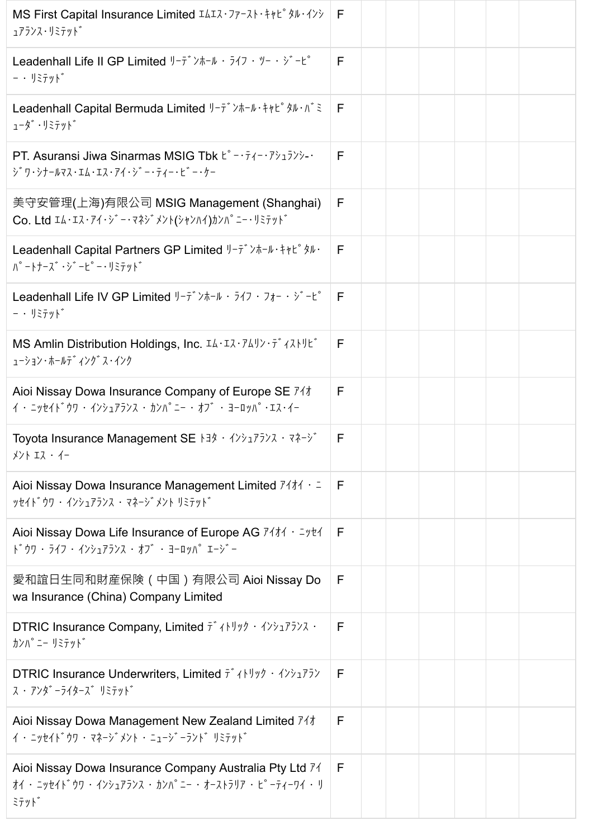| MS First Capital Insurance Limited IAIR · ファースト・キャピ タル・インシ<br>ュアランス・リミテット゛                                                                                                                                                                                                                                                                                                                                                                                           | -F |  |  |  |
|----------------------------------------------------------------------------------------------------------------------------------------------------------------------------------------------------------------------------------------------------------------------------------------------------------------------------------------------------------------------------------------------------------------------------------------------------------------------|----|--|--|--|
| Leadenhall Life II GP Limited $1-\overline{7}$ $3\pi-\mu$ $\cdot$ $5\pi$ $\cdot$ $9-\cdot$ $3-\mu$ °<br>$ \cdot$ $\frac{1}{2}$ $\frac{1}{2}$ $\frac{1}{2}$ $\frac{1}{2}$ $\frac{1}{2}$                                                                                                                                                                                                                                                                               | F  |  |  |  |
| Leadenhall Capital Bermuda Limited $\frac{1}{2} - \bar{r} \times \frac{1}{2} + \frac{1}{2} \times \frac{1}{2} + \frac{1}{2} \times \frac{1}{2}$<br>$1-\hat{y}^* \cdot \hat{y}$                                                                                                                                                                                                                                                                                       | F  |  |  |  |
| PT. Asuransi Jiwa Sinarmas MSIG Tbk L° - · $\bar{\tau}$ / - · 7 $\bar{\nu}$ = · 7 ·<br>ジワ・シナールマス・エム・エス・アイ・ジー・ティー・ビー・ケー                                                                                                                                                                                                                                                                                                                                               | F  |  |  |  |
| 美守安管理(上海)有限公司 MSIG Management (Shanghai)<br>Co. Ltd Iム・Iス・アイ・ジー・マネジ メント(シャンハイ)カンパ°ニー・リミテット                                                                                                                                                                                                                                                                                                                                                                           | F  |  |  |  |
| Leadenhall Capital Partners GP Limited $1-\bar{r}$ > $\pi-\mu$ + + + $\mu^e$ $\pi\mu$ .<br>$\Lambda^{\circ}$ - $\Lambda^+$ - $\lambda^{\circ}$ · $\lambda^{\circ}$ - $\Lambda^{\circ}$ - $\cdot$ $\Lambda^{\circ}$ - $\Lambda^{\circ}$                                                                                                                                                                                                                               | F  |  |  |  |
| Leadenhall Life IV GP Limited $1-\overline{7}$ $\overline{7}$ $\overline{7}$ $\overline{7}$ $\overline{7}$ $\overline{7}$ $\overline{7}$ $\overline{7}$ $\overline{7}$ $\overline{7}$ $\overline{7}$ $\overline{7}$ $\overline{7}$ $\overline{7}$ $\overline{7}$ $\overline{7}$ $\overline{7}$ $\overline{7}$ $\overline{7}$ $\overline{7}$ $\overline{7}$ $\$<br>$ \cdot$ $\overline{1}$ $\overline{z}$ $\overline{y}$ $\overline{y}$ $\overline{y}$ $\overline{y}$ | E  |  |  |  |
| MS Amlin Distribution Holdings, Inc. IL·IZ·74リン・ディストリビ<br>ューション・ホールテ゛ィンク゛ ス・インク                                                                                                                                                                                                                                                                                                                                                                                      | F  |  |  |  |
| Aioi Nissay Dowa Insurance Company of Europe SE 74t<br>$(1 - 2)$ $(1 - 3)$ $(1 - 4)$ $(1 - 4)$ $(1 - 4)$ $(1 - 3)$ $(1 - 1)$ $(1 - 1)$ $(1 - 1)$ $(1 - 1)$ $(1 - 1)$ $(1 - 1)$ $(1 - 1)$ $(1 - 1)$ $(1 - 1)$ $(1 - 1)$ $(1 - 1)$ $(1 - 1)$ $(1 - 1)$ $(1 - 1)$ $(1 - 1)$ $(1 - 1)$ $(1 - 1)$ $(1 - 1)$ $(1 - $                                                                                                                                                       | F  |  |  |  |
| Toyota Insurance Management SE トヨタ・インシュアランス・マネージ<br>メント エス・イー                                                                                                                                                                                                                                                                                                                                                                                                        | F  |  |  |  |
| Aioi Nissay Dowa Insurance Management Limited $7/11 + 1$<br>ッセイト゛ウワ・インシュアランス・マネージ゛メント リミテット゛                                                                                                                                                                                                                                                                                                                                                                         | F  |  |  |  |
| Aioi Nissay Dowa Life Insurance of Europe AG 7414 · = yt4<br>ドウワ・ライフ・インシュアランス・オブ・ヨーロッパエージー                                                                                                                                                                                                                                                                                                                                                                           | F  |  |  |  |
| 愛和誼日生同和財産保険(中国)有限公司 Aioi Nissay Do<br>wa Insurance (China) Company Limited                                                                                                                                                                                                                                                                                                                                                                                           | F  |  |  |  |
| <b>DTRIC Insurance Company, Limited <math>\bar{\tau}</math> (HU) <math>\gamma</math></b> $\rightarrow$ ( $\gamma$ ) $\gamma$ $\bar{\gamma}$ ) $\lambda$ $\rightarrow$<br>カンハ°ニー リミテット゛                                                                                                                                                                                                                                                                               | F  |  |  |  |
| <b>DTRIC Insurance Underwriters, Limited <math>\vec{\tau}</math> (NV) <math>\hat{\tau}</math></b> (N) $\hat{\tau}$<br>ス ・ アンタ゛ーライターズ゛ リミテット゛                                                                                                                                                                                                                                                                                                                         | F  |  |  |  |
| Aioi Nissay Dowa Management New Zealand Limited 74#<br>イ・ニッセイト゛ウワ・マネージ゛メント・ニュージ゛ーラント゛ リミテット゛                                                                                                                                                                                                                                                                                                                                                                         | F  |  |  |  |
| Aioi Nissay Dowa Insurance Company Australia Pty Ltd 71<br>オイ・ ニッセイト゛ウワ ・ インシュアランス ・ カンハ゜ニー ・ オーストラリア ・ ヒ゜ーティーワイ ・ リ<br>ミテット゛                                                                                                                                                                                                                                                                                                                                        | F  |  |  |  |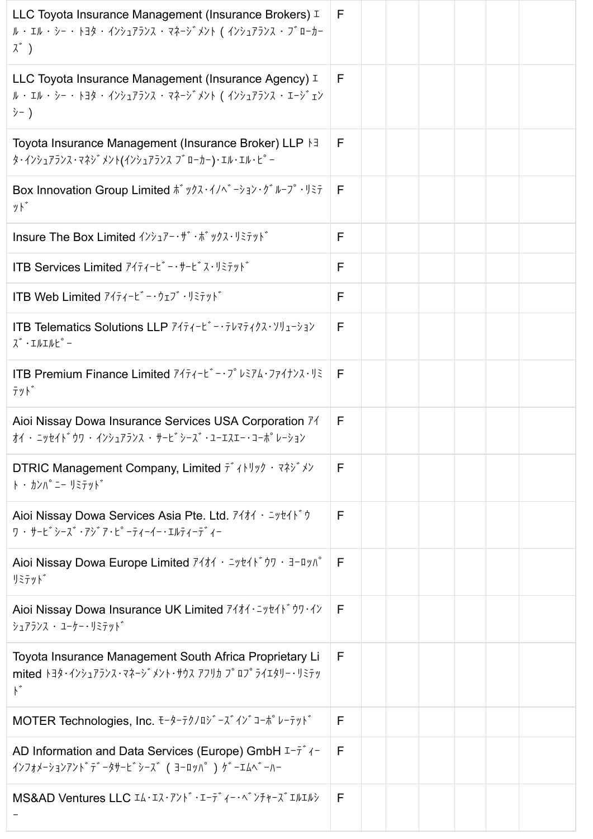| LLC Toyota Insurance Management (Insurance Brokers) I<br>ル・エル・シー・トヨタ・インシュアランス・マネージメント ( インシュアランス・ブローカー<br>$\lambda^*$ )                                                                                                                                                                                                                                                             | F            |  |  |  |
|-------------------------------------------------------------------------------------------------------------------------------------------------------------------------------------------------------------------------------------------------------------------------------------------------------------------------------------------------------------------------------------|--------------|--|--|--|
| LLC Toyota Insurance Management (Insurance Agency) I<br>ル・エル・シー・トヨタ・インシュアランス・マネージメント ( インシュアランス・エージェン<br>氵- )                                                                                                                                                                                                                                                                       | F            |  |  |  |
| Toyota Insurance Management (Insurance Broker) LLP \ 3<br>タ・インシュアランス・マネシ゛メント(インシュアランス ブ゛ローカー)・エル・エル・ヒ°ー                                                                                                                                                                                                                                                                             | F            |  |  |  |
| Box Innovation Group Limited $\vec{k}$ ックス・イノベ ーション・グ ループ・リミテ<br>ット゛                                                                                                                                                                                                                                                                                                                | E            |  |  |  |
| Insure The Box Limited インシュアー・ザ・ボックス・リミテット                                                                                                                                                                                                                                                                                                                                          | F            |  |  |  |
| ITB Services Limited 7474-L'-++-L' ス・リミテット                                                                                                                                                                                                                                                                                                                                          | F            |  |  |  |
| ITB Web Limited 7474-L'-·ウェブ・リミテット                                                                                                                                                                                                                                                                                                                                                  | F            |  |  |  |
| ITB Telematics Solutions LLP 7474-L'-+7VR7407. YU1-33Y<br>$\lambda$ $\cdot$ $I$ $\mu$ $I$ $\mu$ $L$ $\circ$ $-$                                                                                                                                                                                                                                                                     | F            |  |  |  |
| ITB Premium Finance Limited 7474-L'-3° VE74.774+>7.45<br>テット゛                                                                                                                                                                                                                                                                                                                       | F            |  |  |  |
| Aioi Nissay Dowa Insurance Services USA Corporation 71<br>オイ・ニッセイト゛ウワ・インシュアランス・サービ゛シーズ゛・ユーエスエー・コーポ゜レーション                                                                                                                                                                                                                                                                            | F            |  |  |  |
| DTRIC Management Company, Limited $\bar{t}$ (Nuvia $\bar{t}$ ) $\rightarrow$ $\bar{t}$<br>ト・カンパ ニー リミテット゛                                                                                                                                                                                                                                                                           | F            |  |  |  |
| Aioi Nissay Dowa Services Asia Pte. Ltd. 7414 · = yt41* +<br>ワ・サービ゙シーズ・アジア・ピーティーイー・エルティーテ゛ィー                                                                                                                                                                                                                                                                                        | F            |  |  |  |
| Aioi Nissay Dowa Europe Limited 74t4 · = yt41' 07 · 3-0 yn<br>リミテット゛                                                                                                                                                                                                                                                                                                                | F            |  |  |  |
| Aioi Nissay Dowa Insurance UK Limited 74t4 · Inthisty-1><br>シュアランス ・ ユーケー・リミテット゛                                                                                                                                                                                                                                                                                                    | F            |  |  |  |
| Toyota Insurance Management South Africa Proprietary Li<br>mited $\frac{1}{3}$ + $\frac{1}{2}$ + $\frac{1}{2}$ + $\frac{1}{2}$ + $\frac{1}{2}$ + $\frac{1}{2}$ + $\frac{1}{2}$ + $\frac{1}{2}$ + $\frac{1}{2}$ + $\frac{1}{2}$ + $\frac{1}{2}$ + $\frac{1}{2}$ + $\frac{1}{2}$ + $\frac{1}{2}$ + $\frac{1}{2}$ + $\frac{1}{2}$ + $\frac{1}{2}$ + $\frac{1}{2}$ +<br>$\mathcal{N}^*$ | F            |  |  |  |
| MOTER Technologies, Inc. モーターテクノロジーズインジョーポピレーテット                                                                                                                                                                                                                                                                                                                                    | F            |  |  |  |
| AD Information and Data Services (Europe) GmbH $I-\bar{t}$ /-<br>インフォメーションアント <sup>*</sup> テ <sup>*</sup> ータサーヒ <sup>*</sup> シース <sup>*</sup> (ヨーロッハ <sup>°</sup> ) ゲ <sup>*</sup> ーエムへ <sup>*</sup> ーハー                                                                                                                                                                            | $\mathsf{F}$ |  |  |  |
| MS&AD Ventures LLC IA·IR·アンド・エーディー・ベンチャーズエルエルシ                                                                                                                                                                                                                                                                                                                                      | F            |  |  |  |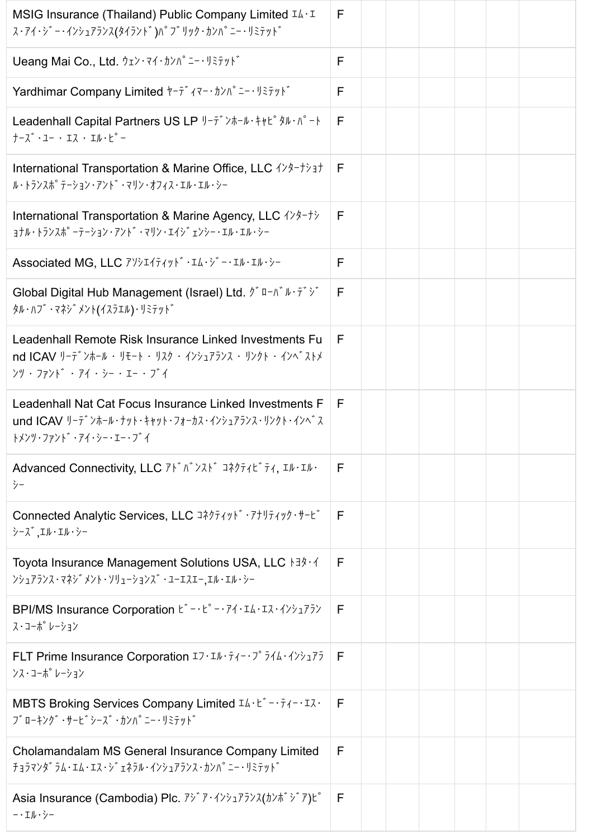| MSIG Insurance (Thailand) Public Company Limited $I\Lambda \cdot I$<br>ス・アイ・ジー・インシュアランス(タイランド)パブリック・カンパニー・リミテッド                                                                                                                                                                                                                                                                                                                                   | F  |  |  |  |
|---------------------------------------------------------------------------------------------------------------------------------------------------------------------------------------------------------------------------------------------------------------------------------------------------------------------------------------------------------------------------------------------------------------------------------------------------|----|--|--|--|
| Ueang Mai Co., Ltd. ウェン・マイ・カンパ <sup>°</sup> ニー・リミテット                                                                                                                                                                                                                                                                                                                                                                                              | F  |  |  |  |
| Yardhimar Company Limited +-7* (マー・カンパ ニー・リミテット*                                                                                                                                                                                                                                                                                                                                                                                                  | F  |  |  |  |
| Leadenhall Capital Partners US LP $1-\overline{7}$ $\overline{7}$ $\overline{7}$ $\overline{7}$ $\overline{7}$ $\overline{7}$ $\overline{7}$ $\overline{7}$ $\overline{7}$ $\overline{7}$ $\overline{7}$ $\overline{7}$ $\overline{7}$ $\overline{7}$ $\overline{7}$ $\overline{7}$ $\overline{7}$ $\overline{7}$ $\overline{7}$ $\overline{7}$ $\overline{7}$<br>$+-\lambda$ $\cdot$ $1 \cdot$ $I\lambda$ $\cdot$ $I\mu$ $\cdot$ $I^{\circ}$ $-$ | F  |  |  |  |
| International Transportation & Marine Office, LLC $\{\frac{1}{2}, \frac{1}{2}, \frac{1}{2}\}$<br>ル・トランスポ <sup>°</sup> テーション・アント゛・マリン・オフィス・エル・エル・シー                                                                                                                                                                                                                                                                                                | F. |  |  |  |
| International Transportation & Marine Agency, LLC $\{\frac{\lambda}{2} + \frac{\lambda}{2}\}$<br><b>ョナル・トランスポ ーテーション・アント ·マリン・エイジ ェンシー・エル・エル・シー</b>                                                                                                                                                                                                                                                                                               | F  |  |  |  |
| Associated MG, LLC アソシエイティッド・エム・ジー・エル・エル・シー                                                                                                                                                                                                                                                                                                                                                                                                       | F  |  |  |  |
| Global Digital Hub Management (Israel) Ltd. $\hat{y}$ u-n $\hat{y}$ $\hat{y}$ = $\hat{y}$<br>タル・ハフ゛・マネシ゛メント(イスラエル)・リミテット゛                                                                                                                                                                                                                                                                                                                         | F  |  |  |  |
| Leadenhall Remote Risk Insurance Linked Investments Fu<br>nd ICAV リーデ ンホール・リモート・リスク・インシュアランス・リンクト・インベ ストメ<br>>ツ・ファンド・アイ・シー・エー・ブイ                                                                                                                                                                                                                                                                                                                  | F  |  |  |  |
| Leadenhall Nat Cat Focus Insurance Linked Investments F<br>und ICAV リーテ゛ンホール・ナット・キャット・フォーカス・インシュアランス・リンクト・インへ゛ス<br>トメンツ・ファント゛・アイ・シー・エー・ブ゛イ                                                                                                                                                                                                                                                                                                        | F  |  |  |  |
| Advanced Connectivity, LLC $7 \times 7 \times 7 \times 7$ $7 \times 7 \times 7 \times 7$<br>シー                                                                                                                                                                                                                                                                                                                                                    | F  |  |  |  |
| Connected Analytic Services, LLC Jネクティッド・アナリティック・サービ<br>シーズ コル・エル・シー                                                                                                                                                                                                                                                                                                                                                                              | F  |  |  |  |
| Toyota Insurance Management Solutions USA, LLC トヨタ・イ<br>>>175>ス·マネシ メント・ソリューションス · 1-IスI-,Iル・Iル・シー                                                                                                                                                                                                                                                                                                                                                | F  |  |  |  |
| BPI/MS Insurance Corporation $E^* - E^* - \frac{1}{2}A \cdot I\lambda \cdot I\lambda \cdot \frac{1}{2}A \cdot \frac{1}{2}A$<br>ス・コーポ レーション                                                                                                                                                                                                                                                                                                        | F  |  |  |  |
| FLT Prime Insurance Corporation $I \bar{J} \cdot I \bar{J} \cdot \bar{J} \cdot \bar{J} \cdot \bar{J} \cdot \bar{J} \cdot \bar{J} \cdot \bar{J} \cdot \bar{J} \cdot \bar{J} \bar{J}$<br>ンス・コーポ レーション                                                                                                                                                                                                                                               | E  |  |  |  |
| MBTS Broking Services Company Limited IA· L -· $\bar{t}$ -· $\bar{t}$ / -· IX·<br>J ゙ローキング ·サーヒ ゙シース ·カンハ ゠ー・リミテット                                                                                                                                                                                                                                                                                                                                | F  |  |  |  |
| Cholamandalam MS General Insurance Company Limited<br>チョラマンダラム・エム・エス・ジェネラル・インシュアランス・カンパニー・リミテッド                                                                                                                                                                                                                                                                                                                                                   | F  |  |  |  |
| Asia Insurance (Cambodia) Plc. $\vec{r}$ <sup><math>\vec{r}</math></sup> $\cdot$ $\langle \vec{r} \rangle$ $\vec{r}$ $\langle \vec{r} \rangle$ $\langle \vec{r} \rangle$ $\vec{r}$ $\langle \vec{r} \rangle$ $\hat{r}$ $\langle \vec{r} \rangle$ $\langle \vec{r} \rangle$<br>-· エル・シー                                                                                                                                                            | F  |  |  |  |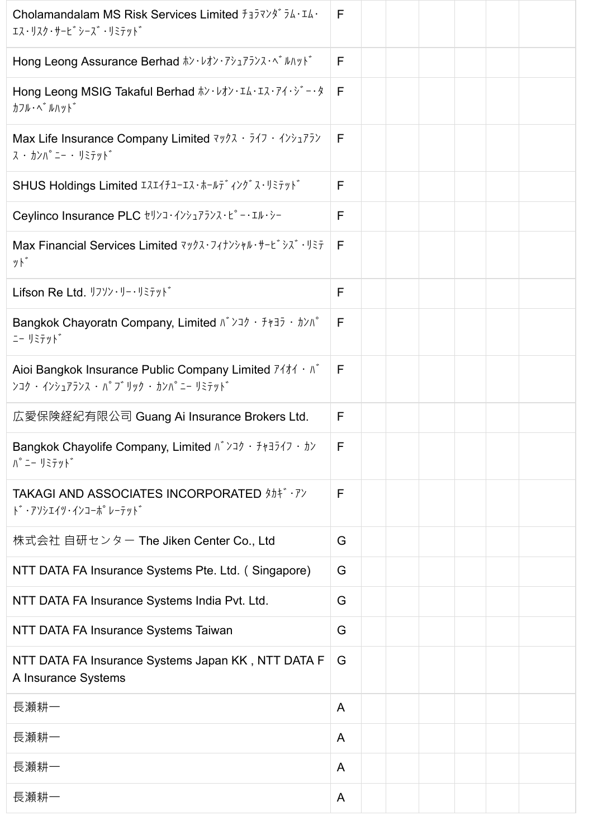| Cholamandalam MS Risk Services Limited $f_1\bar{f}_2\bar{f}_3\bar{f}_4\cdots\bar{f}_4\cdots$<br>エス・リスク・サービ シーズ ・リミテット゛                                                                                                                                                                                                             | F            |  |  |  |
|------------------------------------------------------------------------------------------------------------------------------------------------------------------------------------------------------------------------------------------------------------------------------------------------------------------------------------|--------------|--|--|--|
| Hong Leong Assurance Berhad $\hbar$ ' $\nu$ $\hbar$ ' $\nu$ <sup>2</sup> , $\bar{\nu}$ <sup>2</sup> , $\bar{\nu}$ <sup>2</sup> , $\lambda$ $\cdots$ $\bar{\nu}$ $\bar{\nu}$ $\bar{\nu}$ $\bar{\nu}$                                                                                                                                | F            |  |  |  |
| Hong Leong MSIG Takaful Berhad #> · レオン・エム・エス・アイ・ジー・タ<br>カフル・ヘ゛ルハット゛                                                                                                                                                                                                                                                               | $\mathsf{F}$ |  |  |  |
| Max Life Insurance Company Limited $\frac{7}{7}$ $\frac{7}{7}$ $\frac{7}{7}$ $\frac{7}{7}$<br>ス ・ カンパ ニー ・ リミテット゛                                                                                                                                                                                                                  | F            |  |  |  |
| SHUS Holdings Limited エスエイチューエス・ホールデ ィング ス・リミテット                                                                                                                                                                                                                                                                                   | F            |  |  |  |
| Ceylinco Insurance PLC セリンコ・インシュアランス・ピー・エル・シー                                                                                                                                                                                                                                                                                      | F            |  |  |  |
| Max Financial Services Limited $\frac{7}{7}$ $\frac{7}{7}$ $\frac{1}{2}$ $\frac{1}{2}$ $\frac{1}{2}$ $\frac{1}{2}$ $\frac{1}{2}$ $\frac{1}{2}$<br>ット゛                                                                                                                                                                              | F            |  |  |  |
| Lifson Re Ltd. リフソン・リー・リミテット                                                                                                                                                                                                                                                                                                       | F            |  |  |  |
| Bangkok Chayoratn Company, Limited $\wedge$ $\vee$ $\vee$ $\wedge$ $\wedge$ $\wedge$ $\wedge$ $\wedge$ $\wedge$ $\wedge$ $\wedge$ $\wedge$ $\wedge$ $\wedge$ $\wedge$ $\wedge$ $\wedge$ $\wedge$ $\wedge$ $\wedge$ $\wedge$ $\wedge$ $\wedge$ $\wedge$ $\wedge$ $\wedge$ $\wedge$ $\wedge$ $\wedge$ $\wedge$ $\wedge$<br>ニー リミテット゛ | F            |  |  |  |
| Aioi Bangkok Insurance Public Company Limited $7/11 \cdot N^2$<br>>コク · インシュアランス · パブリック · カンパニー リミテット゛                                                                                                                                                                                                                            | F            |  |  |  |
| 広愛保険経紀有限公司 Guang Ai Insurance Brokers Ltd.                                                                                                                                                                                                                                                                                         | F            |  |  |  |
| Bangkok Chayolife Company, Limited $\wedge$ $\vee$ $\vee$ $\vee$ $\wedge$ $\wedge$ $\wedge$ $\wedge$ $\wedge$ $\wedge$<br>ハ°ニー リミテット゛                                                                                                                                                                                              | E            |  |  |  |
| <b>TAKAGI AND ASSOCIATES INCORPORATED \$14** . 7&gt;</b><br>ド・アソシエイツ・インコーポ レーテット゛                                                                                                                                                                                                                                                  | F            |  |  |  |
| 株式会社 自研センター The Jiken Center Co., Ltd                                                                                                                                                                                                                                                                                              | G            |  |  |  |
| NTT DATA FA Insurance Systems Pte. Ltd. (Singapore)                                                                                                                                                                                                                                                                                | G            |  |  |  |
| NTT DATA FA Insurance Systems India Pvt. Ltd.                                                                                                                                                                                                                                                                                      | G            |  |  |  |
| NTT DATA FA Insurance Systems Taiwan                                                                                                                                                                                                                                                                                               | G            |  |  |  |
| NTT DATA FA Insurance Systems Japan KK, NTT DATA F<br>A Insurance Systems                                                                                                                                                                                                                                                          | G            |  |  |  |
| 長瀬耕一                                                                                                                                                                                                                                                                                                                               | A            |  |  |  |
| 長瀬耕一                                                                                                                                                                                                                                                                                                                               | A            |  |  |  |
| 長瀬耕一                                                                                                                                                                                                                                                                                                                               | A            |  |  |  |
| 長瀬耕一                                                                                                                                                                                                                                                                                                                               | A            |  |  |  |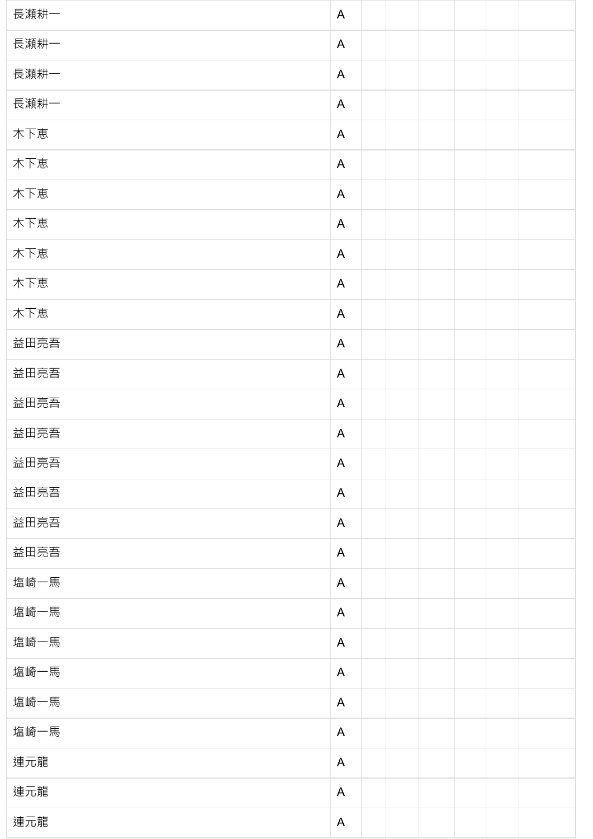| 長瀬耕一 | $\mathsf{A}$ |  |  |  |
|------|--------------|--|--|--|
| 長瀬耕一 | A            |  |  |  |
| 長瀬耕一 | A            |  |  |  |
| 長瀬耕一 | A            |  |  |  |
| 木下恵  | $\mathsf{A}$ |  |  |  |
| 木下恵  | A            |  |  |  |
| 木下恵  | $\mathsf{A}$ |  |  |  |
| 木下恵  | A            |  |  |  |
| 木下恵  | $\mathsf{A}$ |  |  |  |
| 木下恵  | $\mathsf{A}$ |  |  |  |
| 木下恵  | $\mathsf{A}$ |  |  |  |
| 益田亮吾 | $\mathsf{A}$ |  |  |  |
| 益田亮吾 | $\mathsf{A}$ |  |  |  |
| 益田亮吾 | A            |  |  |  |
| 益田亮吾 | A            |  |  |  |
| 益田亮吾 | $\mathsf{A}$ |  |  |  |
| 益田亮吾 | A            |  |  |  |
| 益田亮吾 | A            |  |  |  |
| 益田亮吾 | A            |  |  |  |
| 塩崎一馬 | A            |  |  |  |
| 塩崎一馬 | $\mathsf{A}$ |  |  |  |
| 塩崎一馬 | $\mathsf{A}$ |  |  |  |
| 塩崎一馬 | $\mathsf{A}$ |  |  |  |
| 塩崎一馬 | $\mathsf{A}$ |  |  |  |
| 塩崎一馬 | A            |  |  |  |
| 連元龍  | $\mathsf{A}$ |  |  |  |
| 連元龍  | $\mathsf{A}$ |  |  |  |
| 連元龍  | $\mathsf{A}$ |  |  |  |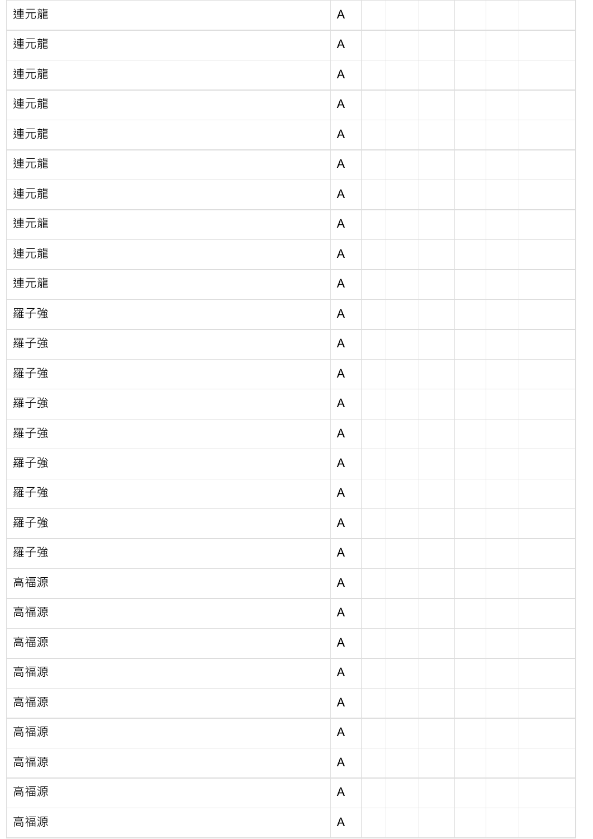| 連元龍 | $\mathsf{A}$              |  |  |  |
|-----|---------------------------|--|--|--|
| 連元龍 | A                         |  |  |  |
| 連元龍 | $\mathsf{A}$              |  |  |  |
| 連元龍 | A                         |  |  |  |
| 連元龍 | $\mathsf{A}$              |  |  |  |
| 連元龍 | A                         |  |  |  |
| 連元龍 | $\mathsf{A}$              |  |  |  |
| 連元龍 | A                         |  |  |  |
| 連元龍 | $\mathsf{A}$              |  |  |  |
| 連元龍 | A                         |  |  |  |
| 羅子強 | $\mathsf{A}$              |  |  |  |
| 羅子強 | A                         |  |  |  |
| 羅子強 | $\mathsf{A}$              |  |  |  |
| 羅子強 | A                         |  |  |  |
| 羅子強 | A                         |  |  |  |
| 羅子強 | $\mathsf{A}$              |  |  |  |
| 羅子強 | A                         |  |  |  |
| 羅子強 | $\mathsf{A}$              |  |  |  |
| 羅子強 | A                         |  |  |  |
| 高福源 | $\mathsf{A}$              |  |  |  |
| 高福源 | A                         |  |  |  |
| 高福源 | $\mathsf{A}$              |  |  |  |
| 高福源 | A                         |  |  |  |
| 高福源 | $\boldsymbol{\mathsf{A}}$ |  |  |  |
| 高福源 | A                         |  |  |  |
| 高福源 | $\boldsymbol{\mathsf{A}}$ |  |  |  |
| 高福源 | A                         |  |  |  |
| 高福源 | $\boldsymbol{\mathsf{A}}$ |  |  |  |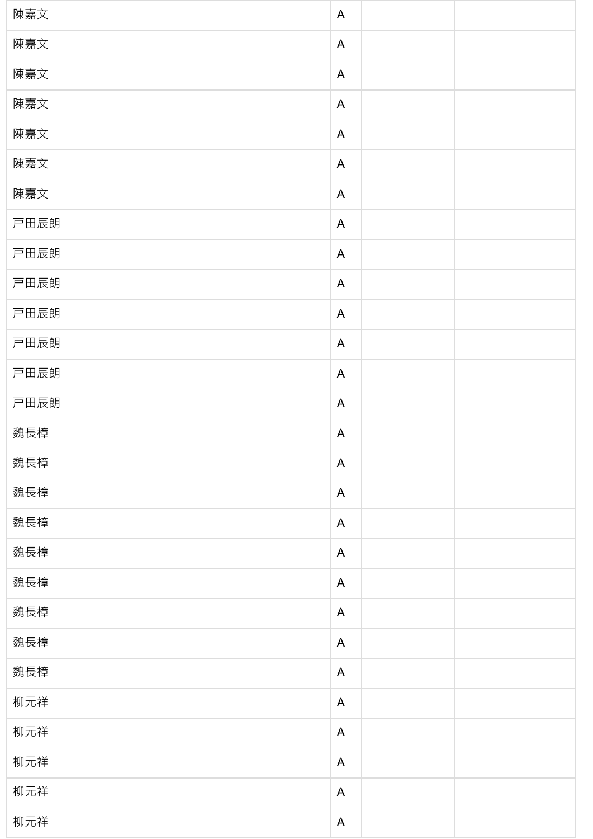| 陳嘉文  | $\mathsf{A}$ |  |  |  |
|------|--------------|--|--|--|
| 陳嘉文  | $\mathsf{A}$ |  |  |  |
| 陳嘉文  | $\mathsf{A}$ |  |  |  |
| 陳嘉文  | $\mathsf{A}$ |  |  |  |
| 陳嘉文  | $\mathsf{A}$ |  |  |  |
| 陳嘉文  | $\mathsf{A}$ |  |  |  |
| 陳嘉文  | $\mathsf{A}$ |  |  |  |
| 戸田辰朗 | $\mathsf{A}$ |  |  |  |
| 戸田辰朗 | $\mathsf{A}$ |  |  |  |
| 戸田辰朗 | $\mathsf{A}$ |  |  |  |
| 戸田辰朗 | $\mathsf{A}$ |  |  |  |
| 戸田辰朗 | $\mathsf{A}$ |  |  |  |
| 戸田辰朗 | $\mathsf{A}$ |  |  |  |
| 戸田辰朗 | $\mathsf{A}$ |  |  |  |
|      |              |  |  |  |
| 魏長樟  | $\mathsf{A}$ |  |  |  |
| 魏長樟  | $\mathsf{A}$ |  |  |  |
| 魏長樟  | $\mathsf{A}$ |  |  |  |
| 魏長樟  | $\mathsf{A}$ |  |  |  |
| 魏長樟  | $\mathsf{A}$ |  |  |  |
| 魏長樟  | $\mathsf{A}$ |  |  |  |
| 魏長樟  | $\mathsf{A}$ |  |  |  |
| 魏長樟  | $\mathsf{A}$ |  |  |  |
| 魏長樟  | $\mathsf{A}$ |  |  |  |
| 柳元祥  | $\mathsf{A}$ |  |  |  |
| 柳元祥  | $\mathsf{A}$ |  |  |  |
| 柳元祥  | $\mathsf{A}$ |  |  |  |
| 柳元祥  | $\mathsf{A}$ |  |  |  |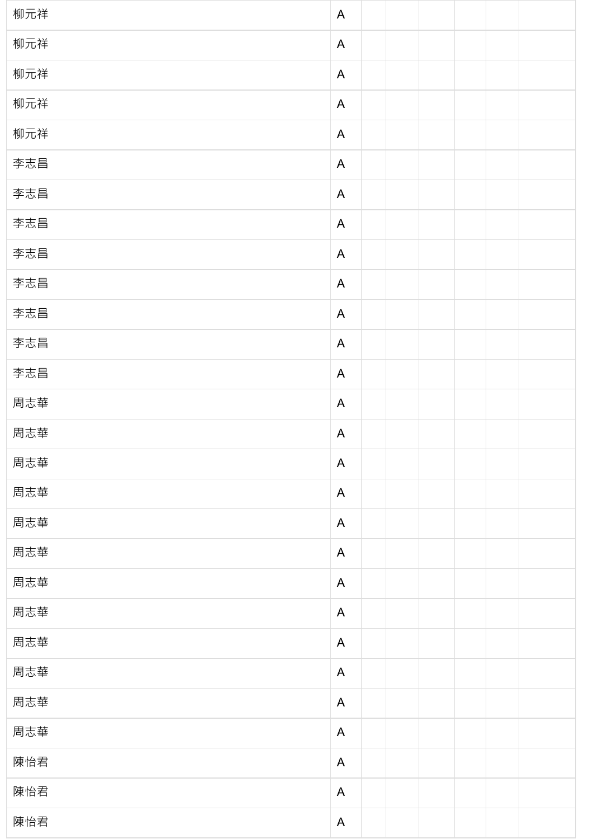| 柳元祥 | $\mathsf{A}$ |  |  |  |
|-----|--------------|--|--|--|
| 柳元祥 | $\mathsf{A}$ |  |  |  |
| 柳元祥 | $\mathsf{A}$ |  |  |  |
| 柳元祥 | $\mathsf{A}$ |  |  |  |
| 柳元祥 | $\mathsf{A}$ |  |  |  |
| 李志昌 | $\mathsf{A}$ |  |  |  |
| 李志昌 | $\mathsf{A}$ |  |  |  |
| 李志昌 | $\mathsf{A}$ |  |  |  |
| 李志昌 | $\mathsf{A}$ |  |  |  |
| 李志昌 | $\mathsf{A}$ |  |  |  |
| 李志昌 | $\mathsf{A}$ |  |  |  |
| 李志昌 | $\mathsf{A}$ |  |  |  |
| 李志昌 | $\mathsf{A}$ |  |  |  |
| 周志華 | $\mathsf{A}$ |  |  |  |
| 周志華 | $\mathsf{A}$ |  |  |  |
| 周志華 | $\mathsf{A}$ |  |  |  |
| 周志華 | $\mathsf{A}$ |  |  |  |
| 周志華 | $\mathsf{A}$ |  |  |  |
| 周志華 | $\mathsf{A}$ |  |  |  |
| 周志華 | $\mathsf{A}$ |  |  |  |
| 周志華 | $\mathsf{A}$ |  |  |  |
| 周志華 | $\mathsf{A}$ |  |  |  |
| 周志華 | $\mathsf{A}$ |  |  |  |
| 周志華 | $\mathsf{A}$ |  |  |  |
| 周志華 | $\mathsf{A}$ |  |  |  |
| 陳怡君 | $\mathsf{A}$ |  |  |  |
| 陳怡君 | $\mathsf{A}$ |  |  |  |
| 陳怡君 | $\mathsf{A}$ |  |  |  |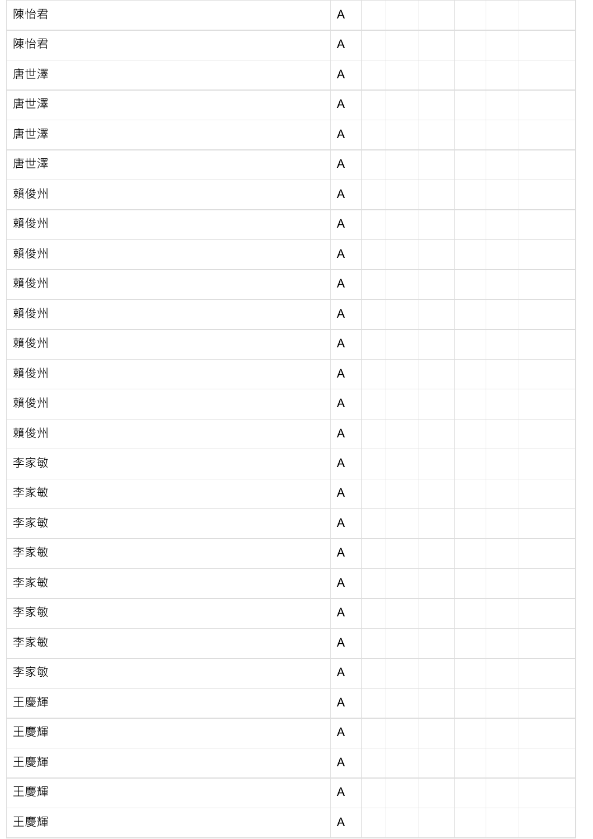| 陳怡君 | $\mathsf{A}$ |  |  |  |
|-----|--------------|--|--|--|
| 陳怡君 | $\mathsf{A}$ |  |  |  |
| 唐世澤 | $\mathsf{A}$ |  |  |  |
| 唐世澤 | $\mathsf{A}$ |  |  |  |
| 唐世澤 | $\mathsf{A}$ |  |  |  |
| 唐世澤 | $\mathsf{A}$ |  |  |  |
| 賴俊州 | $\mathsf{A}$ |  |  |  |
| 賴俊州 | $\mathsf{A}$ |  |  |  |
| 賴俊州 | $\mathsf{A}$ |  |  |  |
| 賴俊州 | $\mathsf{A}$ |  |  |  |
| 賴俊州 | $\mathsf{A}$ |  |  |  |
| 賴俊州 | $\mathsf{A}$ |  |  |  |
| 賴俊州 | $\mathsf{A}$ |  |  |  |
| 賴俊州 | $\mathsf{A}$ |  |  |  |
| 賴俊州 | $\mathsf{A}$ |  |  |  |
| 李家敏 | $\mathsf{A}$ |  |  |  |
| 李家敏 | $\mathsf{A}$ |  |  |  |
| 李家敏 | $\mathsf{A}$ |  |  |  |
| 李家敏 | $\mathsf{A}$ |  |  |  |
| 李家敏 | $\mathsf{A}$ |  |  |  |
| 李家敏 | $\mathsf{A}$ |  |  |  |
| 李家敏 | $\mathsf{A}$ |  |  |  |
| 李家敏 | $\mathsf{A}$ |  |  |  |
| 王慶輝 | $\mathsf{A}$ |  |  |  |
| 王慶輝 | $\mathsf{A}$ |  |  |  |
| 王慶輝 | $\mathsf{A}$ |  |  |  |
| 王慶輝 | $\mathsf{A}$ |  |  |  |
| 王慶輝 | $\mathsf{A}$ |  |  |  |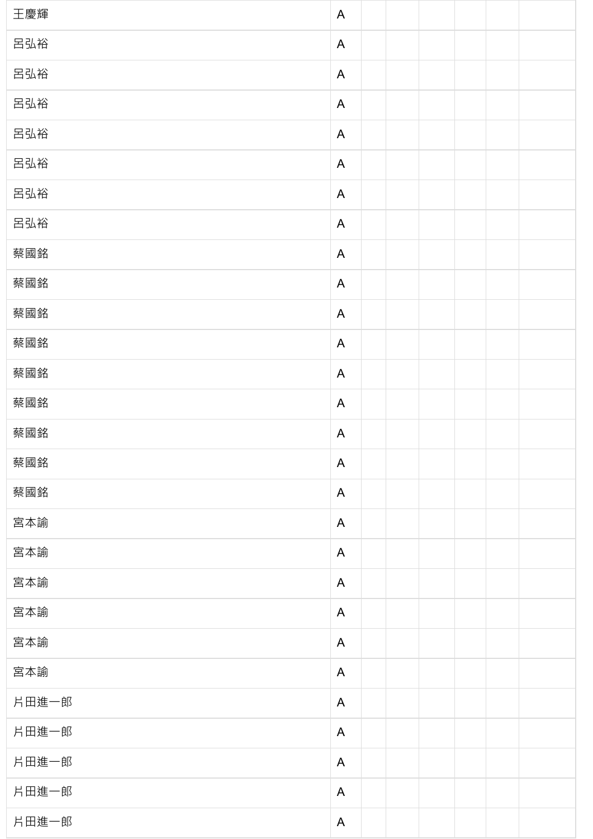| 王慶輝   | $\mathsf{A}$ |  |  |  |
|-------|--------------|--|--|--|
| 呂弘裕   | $\mathsf{A}$ |  |  |  |
| 呂弘裕   | $\mathsf{A}$ |  |  |  |
| 呂弘裕   | $\mathsf{A}$ |  |  |  |
| 呂弘裕   | $\mathsf{A}$ |  |  |  |
| 呂弘裕   | $\mathsf{A}$ |  |  |  |
| 呂弘裕   | $\mathsf{A}$ |  |  |  |
| 呂弘裕   | $\mathsf{A}$ |  |  |  |
| 蔡國銘   | $\mathsf{A}$ |  |  |  |
| 蔡國銘   | $\mathsf{A}$ |  |  |  |
| 蔡國銘   | $\mathsf{A}$ |  |  |  |
| 蔡國銘   | $\mathsf{A}$ |  |  |  |
| 蔡國銘   | $\mathsf{A}$ |  |  |  |
| 蔡國銘   | $\mathsf{A}$ |  |  |  |
| 蔡國銘   | $\mathsf{A}$ |  |  |  |
| 蔡國銘   | $\mathsf{A}$ |  |  |  |
| 蔡國銘   | $\mathsf{A}$ |  |  |  |
| 宮本諭   | $\mathsf{A}$ |  |  |  |
| 宮本諭   | $\mathsf{A}$ |  |  |  |
| 宮本諭   | $\mathsf{A}$ |  |  |  |
| 宮本諭   | $\mathsf{A}$ |  |  |  |
| 宮本諭   | $\mathsf{A}$ |  |  |  |
| 宮本諭   | $\mathsf{A}$ |  |  |  |
| 片田進一郎 | $\mathsf{A}$ |  |  |  |
| 片田進一郎 | $\mathsf{A}$ |  |  |  |
| 片田進一郎 | $\mathsf{A}$ |  |  |  |
| 片田進一郎 | $\mathsf{A}$ |  |  |  |
| 片田進一郎 | $\mathsf{A}$ |  |  |  |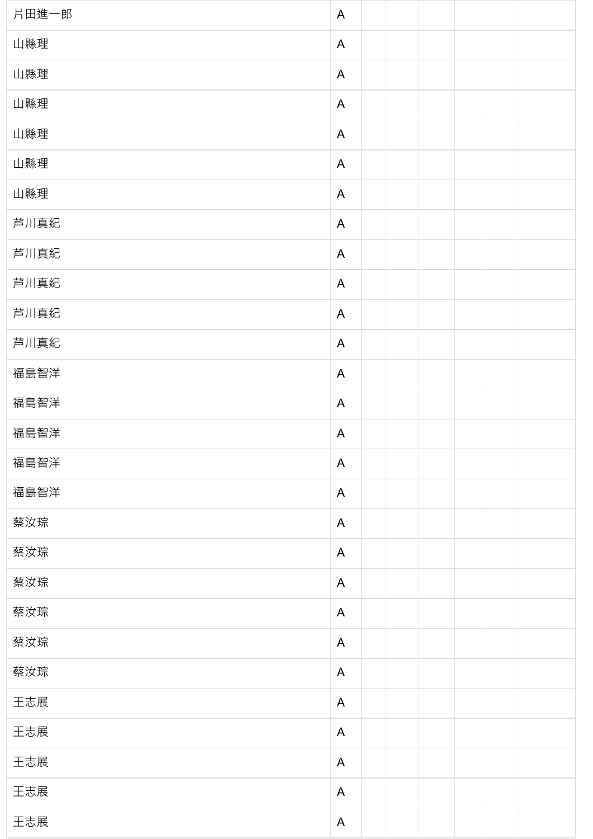| 片田進一郎 | $\mathsf{A}$ |  |  |  |
|-------|--------------|--|--|--|
| 山縣理   | $\mathsf{A}$ |  |  |  |
| 山縣理   | $\mathsf{A}$ |  |  |  |
| 山縣理   | $\mathsf{A}$ |  |  |  |
| 山縣理   | $\mathsf{A}$ |  |  |  |
| 山縣理   | $\mathsf{A}$ |  |  |  |
| 山縣理   | $\mathsf{A}$ |  |  |  |
| 芦川真紀  | $\mathsf{A}$ |  |  |  |
| 芦川真紀  | $\mathsf{A}$ |  |  |  |
| 芦川真紀  | $\mathsf{A}$ |  |  |  |
| 芦川真紀  | $\mathsf{A}$ |  |  |  |
| 芦川真紀  | $\mathsf{A}$ |  |  |  |
| 福島智洋  | $\mathsf{A}$ |  |  |  |
| 福島智洋  | $\mathsf{A}$ |  |  |  |
| 福島智洋  | $\mathsf{A}$ |  |  |  |
| 福島智洋  | $\mathsf{A}$ |  |  |  |
| 福島智洋  | $\mathsf{A}$ |  |  |  |
| 蔡汝琮   | $\mathsf{A}$ |  |  |  |
| 蔡汝琮   | $\mathsf{A}$ |  |  |  |
| 蔡汝琮   | $\mathsf{A}$ |  |  |  |
| 蔡汝琮   | $\mathsf{A}$ |  |  |  |
| 蔡汝琮   | $\mathsf{A}$ |  |  |  |
| 蔡汝琮   | $\mathsf{A}$ |  |  |  |
| 王志展   | $\mathsf{A}$ |  |  |  |
| 王志展   | $\mathsf{A}$ |  |  |  |
| 王志展   | $\mathsf{A}$ |  |  |  |
| 王志展   | $\mathsf{A}$ |  |  |  |
| 王志展   | $\mathsf{A}$ |  |  |  |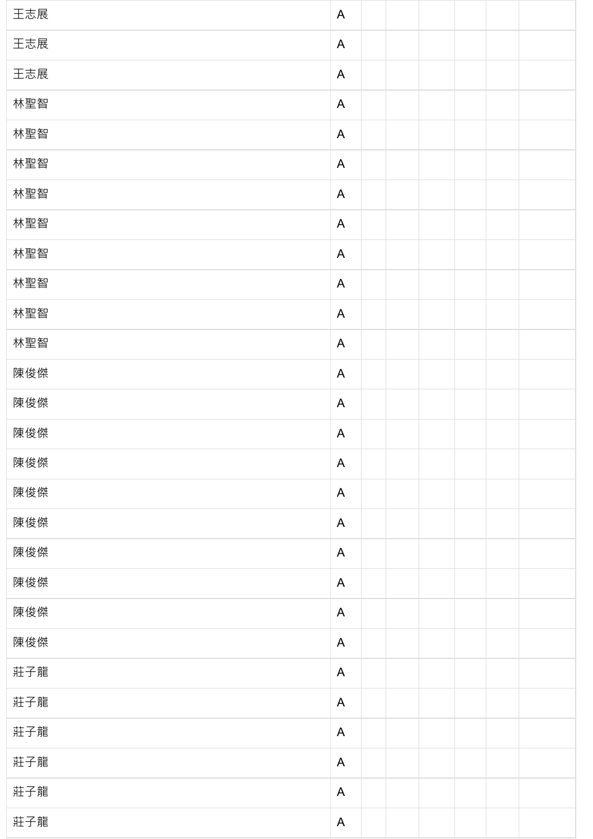| 王志展 | $\mathsf{A}$ |  |  |  |
|-----|--------------|--|--|--|
| 王志展 | $\mathsf{A}$ |  |  |  |
| 王志展 | $\mathsf{A}$ |  |  |  |
| 林聖智 | $\mathsf{A}$ |  |  |  |
| 林聖智 | $\mathsf{A}$ |  |  |  |
| 林聖智 | $\mathsf{A}$ |  |  |  |
| 林聖智 | $\mathsf{A}$ |  |  |  |
| 林聖智 | $\mathsf{A}$ |  |  |  |
| 林聖智 | $\mathsf{A}$ |  |  |  |
| 林聖智 | $\mathsf{A}$ |  |  |  |
| 林聖智 | $\mathsf{A}$ |  |  |  |
| 林聖智 | $\mathsf{A}$ |  |  |  |
| 陳俊傑 | $\mathsf{A}$ |  |  |  |
| 陳俊傑 | $\mathsf{A}$ |  |  |  |
| 陳俊傑 | $\mathsf{A}$ |  |  |  |
| 陳俊傑 | $\mathsf{A}$ |  |  |  |
| 陳俊傑 | $\mathsf{A}$ |  |  |  |
| 陳俊傑 | $\mathsf{A}$ |  |  |  |
| 陳俊傑 | $\mathsf{A}$ |  |  |  |
| 陳俊傑 | $\mathsf{A}$ |  |  |  |
| 陳俊傑 | $\mathsf{A}$ |  |  |  |
| 陳俊傑 | $\mathsf{A}$ |  |  |  |
| 莊子龍 | $\mathsf{A}$ |  |  |  |
| 莊子龍 | $\mathsf{A}$ |  |  |  |
| 莊子龍 | $\mathsf{A}$ |  |  |  |
| 莊子龍 | $\mathsf{A}$ |  |  |  |
| 莊子龍 | $\mathsf{A}$ |  |  |  |
| 莊子龍 | $\mathsf{A}$ |  |  |  |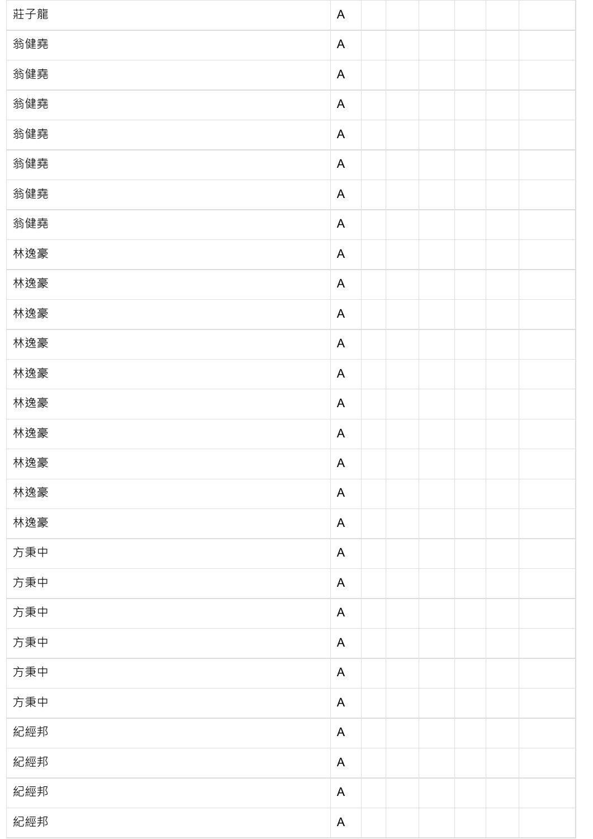| 莊子龍 | $\mathsf{A}$ |  |  |  |
|-----|--------------|--|--|--|
| 翁健堯 | $\mathsf{A}$ |  |  |  |
| 翁健堯 | $\mathsf{A}$ |  |  |  |
| 翁健堯 | $\mathsf{A}$ |  |  |  |
| 翁健堯 | $\mathsf{A}$ |  |  |  |
| 翁健堯 | $\mathsf{A}$ |  |  |  |
| 翁健堯 | $\mathsf{A}$ |  |  |  |
| 翁健堯 | $\mathsf{A}$ |  |  |  |
| 林逸豪 | $\mathsf{A}$ |  |  |  |
| 林逸豪 | $\mathsf{A}$ |  |  |  |
| 林逸豪 | $\mathsf{A}$ |  |  |  |
| 林逸豪 | $\mathsf{A}$ |  |  |  |
| 林逸豪 | $\mathsf{A}$ |  |  |  |
| 林逸豪 | $\mathsf{A}$ |  |  |  |
| 林逸豪 | $\mathsf{A}$ |  |  |  |
| 林逸豪 | $\mathsf{A}$ |  |  |  |
| 林逸豪 | $\mathsf{A}$ |  |  |  |
| 林逸豪 | $\mathsf{A}$ |  |  |  |
| 方秉中 | $\mathsf{A}$ |  |  |  |
| 方秉中 | $\mathsf{A}$ |  |  |  |
| 方秉中 | $\mathsf{A}$ |  |  |  |
| 方秉中 | $\mathsf{A}$ |  |  |  |
| 方秉中 | $\mathsf{A}$ |  |  |  |
| 方秉中 | $\mathsf{A}$ |  |  |  |
| 紀經邦 | $\mathsf{A}$ |  |  |  |
| 紀經邦 | $\mathsf{A}$ |  |  |  |
| 紀經邦 | $\mathsf{A}$ |  |  |  |
| 紀經邦 | $\mathsf{A}$ |  |  |  |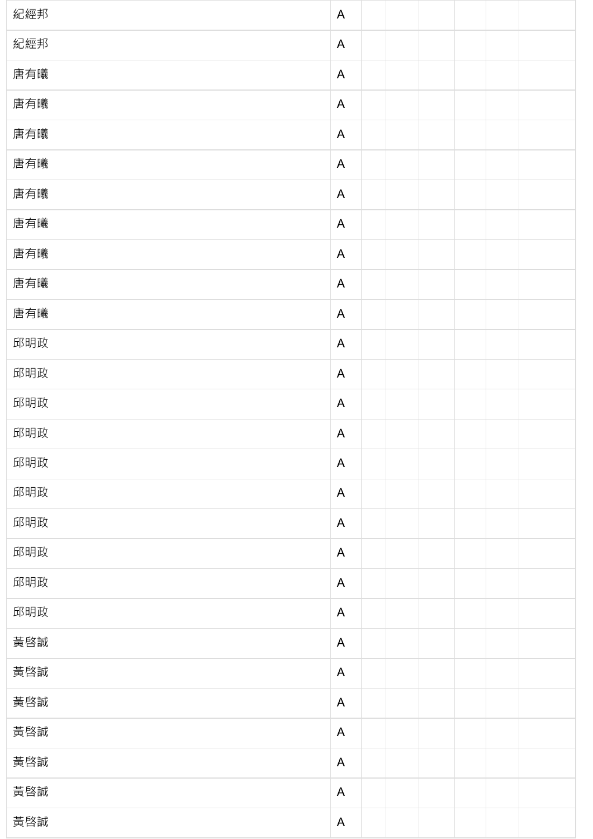| 紀經邦 | $\mathsf{A}$              |  |  |  |
|-----|---------------------------|--|--|--|
| 紀經邦 | $\mathsf{A}$              |  |  |  |
| 唐有曦 | $\mathsf{A}$              |  |  |  |
| 唐有曦 | $\mathsf{A}$              |  |  |  |
| 唐有曦 | A                         |  |  |  |
| 唐有曦 | $\mathsf{A}$              |  |  |  |
| 唐有曦 | $\mathsf{A}$              |  |  |  |
| 唐有曦 | A                         |  |  |  |
| 唐有曦 | $\mathsf{A}$              |  |  |  |
| 唐有曦 | $\mathsf{A}$              |  |  |  |
| 唐有曦 | $\mathsf{A}$              |  |  |  |
| 邱明政 | $\mathsf{A}$              |  |  |  |
| 邱明政 | $\mathsf{A}$              |  |  |  |
| 邱明政 | $\mathsf{A}$              |  |  |  |
| 邱明政 | $\boldsymbol{\mathsf{A}}$ |  |  |  |
| 邱明政 | $\mathsf{A}$              |  |  |  |
| 邱明政 | $\mathsf{A}$              |  |  |  |
| 邱明政 | $\mathsf{A}$              |  |  |  |
| 邱明政 | $\mathsf{A}$              |  |  |  |
| 邱明政 | $\mathsf{A}$              |  |  |  |
| 邱明政 | $\mathsf{A}$              |  |  |  |
| 黃啓誠 | $\mathsf{A}$              |  |  |  |
| 黃啓誠 | $\mathsf{A}$              |  |  |  |
| 黃啓誠 | $\mathsf{A}$              |  |  |  |
| 黃啓誠 | $\mathsf{A}$              |  |  |  |
| 黃啓誠 | $\mathsf{A}$              |  |  |  |
| 黃啓誠 | $\mathsf{A}$              |  |  |  |
| 黃啓誠 | $\mathsf{A}$              |  |  |  |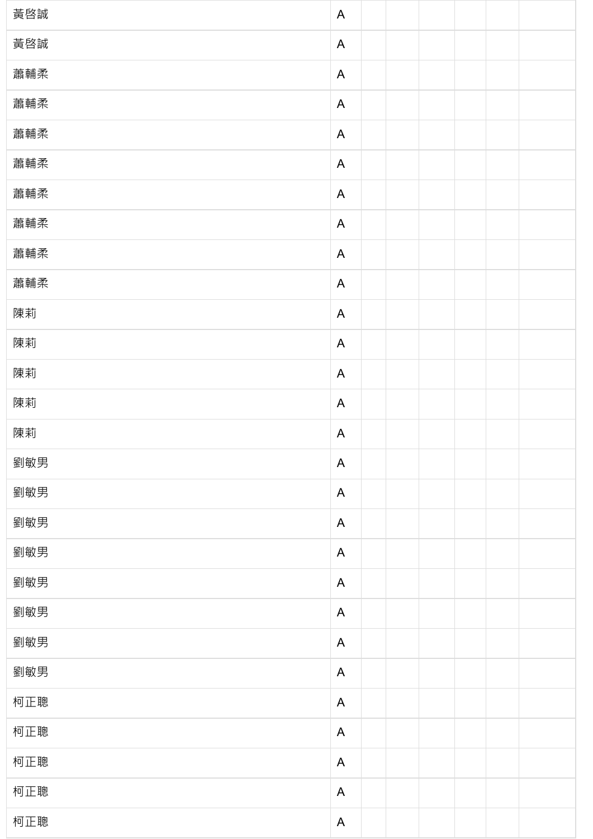| 黃啓誠 | $\mathsf{A}$ |  |  |  |
|-----|--------------|--|--|--|
| 黃啓誠 | $\mathsf{A}$ |  |  |  |
| 蕭輔柔 | $\mathsf{A}$ |  |  |  |
| 蕭輔柔 | $\mathsf{A}$ |  |  |  |
| 蕭輔柔 | $\mathsf{A}$ |  |  |  |
| 蕭輔柔 | $\mathsf{A}$ |  |  |  |
| 蕭輔柔 | $\mathsf{A}$ |  |  |  |
| 蕭輔柔 | $\mathsf{A}$ |  |  |  |
| 蕭輔柔 | $\mathsf{A}$ |  |  |  |
| 蕭輔柔 | $\mathsf{A}$ |  |  |  |
| 陳莉  | $\mathsf{A}$ |  |  |  |
| 陳莉  | $\mathsf{A}$ |  |  |  |
| 陳莉  | $\mathsf{A}$ |  |  |  |
| 陳莉  | $\mathsf{A}$ |  |  |  |
| 陳莉  | $\mathsf{A}$ |  |  |  |
| 劉敏男 | $\mathsf{A}$ |  |  |  |
| 劉敏男 | $\mathsf{A}$ |  |  |  |
| 劉敏男 | $\mathsf{A}$ |  |  |  |
| 劉敏男 | $\mathsf{A}$ |  |  |  |
| 劉敏男 | $\mathsf{A}$ |  |  |  |
| 劉敏男 | $\mathsf{A}$ |  |  |  |
| 劉敏男 | $\mathsf{A}$ |  |  |  |
| 劉敏男 | $\mathsf{A}$ |  |  |  |
| 柯正聰 | $\mathsf{A}$ |  |  |  |
| 柯正聰 | $\mathsf{A}$ |  |  |  |
| 柯正聰 | $\mathsf{A}$ |  |  |  |
| 柯正聰 | $\mathsf{A}$ |  |  |  |
| 柯正聰 | $\mathsf{A}$ |  |  |  |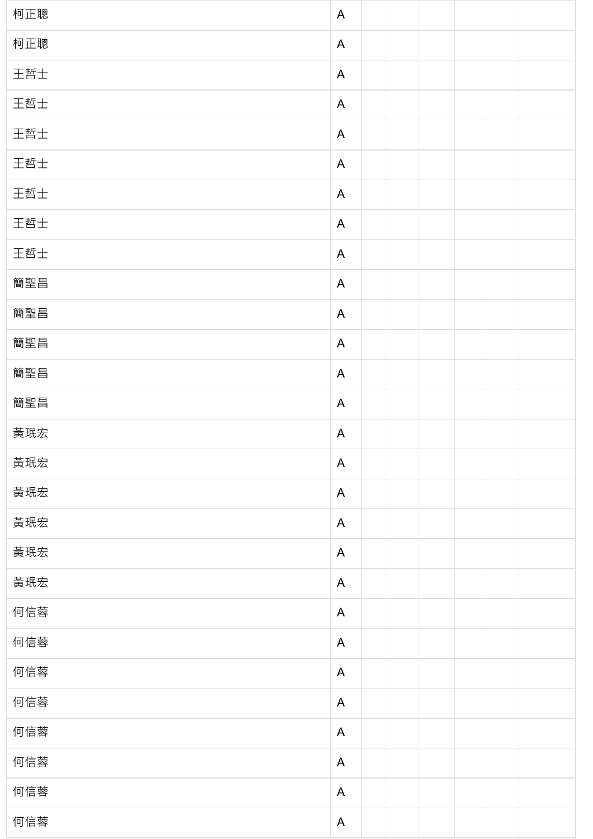| 柯正聰 | $\mathsf{A}$ |  |  |  |
|-----|--------------|--|--|--|
| 柯正聰 | $\mathsf{A}$ |  |  |  |
| 王哲士 | $\mathsf{A}$ |  |  |  |
| 王哲士 | $\mathsf{A}$ |  |  |  |
| 王哲士 | $\mathsf{A}$ |  |  |  |
| 王哲士 | A            |  |  |  |
| 王哲士 | $\mathsf{A}$ |  |  |  |
| 王哲士 | $\mathsf{A}$ |  |  |  |
| 王哲士 | $\mathsf{A}$ |  |  |  |
| 簡聖昌 | A            |  |  |  |
| 簡聖昌 | $\mathsf{A}$ |  |  |  |
| 簡聖昌 | $\mathsf{A}$ |  |  |  |
| 簡聖昌 | $\mathsf{A}$ |  |  |  |
| 簡聖昌 | $\mathsf{A}$ |  |  |  |
| 黃珉宏 | $\mathsf{A}$ |  |  |  |
| 黃珉宏 | $\mathsf{A}$ |  |  |  |
| 黃珉宏 | $\mathsf{A}$ |  |  |  |
| 黃珉宏 | $\mathsf{A}$ |  |  |  |
| 黃珉宏 | $\mathsf{A}$ |  |  |  |
| 黃珉宏 | $\mathsf{A}$ |  |  |  |
| 何信蓉 | $\mathsf{A}$ |  |  |  |
| 何信蓉 | $\mathsf{A}$ |  |  |  |
| 何信蓉 | $\mathsf{A}$ |  |  |  |
| 何信蓉 | $\mathsf{A}$ |  |  |  |
| 何信蓉 | $\mathsf{A}$ |  |  |  |
| 何信蓉 | $\mathsf{A}$ |  |  |  |
| 何信蓉 | $\mathsf{A}$ |  |  |  |
| 何信蓉 | $\mathsf{A}$ |  |  |  |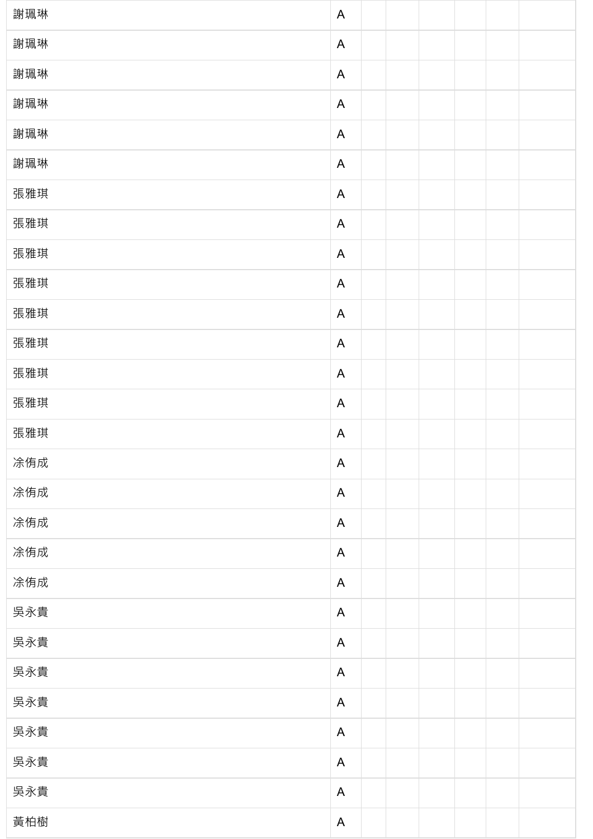| 謝珮琳 | $\mathsf{A}$ |  |  |  |
|-----|--------------|--|--|--|
| 謝珮琳 | $\mathsf{A}$ |  |  |  |
| 謝珮琳 | $\mathsf{A}$ |  |  |  |
| 謝珮琳 | $\mathsf{A}$ |  |  |  |
| 謝珮琳 | $\mathsf{A}$ |  |  |  |
| 謝珮琳 | $\mathsf{A}$ |  |  |  |
| 張雅琪 | $\mathsf{A}$ |  |  |  |
| 張雅琪 | $\mathsf{A}$ |  |  |  |
| 張雅琪 | $\mathsf{A}$ |  |  |  |
| 張雅琪 | $\mathsf{A}$ |  |  |  |
| 張雅琪 | $\mathsf{A}$ |  |  |  |
| 張雅琪 | $\mathsf{A}$ |  |  |  |
| 張雅琪 | $\mathsf{A}$ |  |  |  |
| 張雅琪 | $\mathsf{A}$ |  |  |  |
| 張雅琪 | $\mathsf{A}$ |  |  |  |
| 凃侑成 | $\mathsf{A}$ |  |  |  |
| 凃侑成 | $\mathsf{A}$ |  |  |  |
| 凃侑成 | $\mathsf{A}$ |  |  |  |
| 凃侑成 | $\mathsf{A}$ |  |  |  |
| 凃侑成 | $\mathsf{A}$ |  |  |  |
| 吳永貴 | $\mathsf{A}$ |  |  |  |
| 吳永貴 | $\mathsf{A}$ |  |  |  |
| 吳永貴 | $\mathsf{A}$ |  |  |  |
| 吳永貴 | $\mathsf{A}$ |  |  |  |
| 吳永貴 | $\mathsf{A}$ |  |  |  |
| 吳永貴 | $\mathsf{A}$ |  |  |  |
| 吳永貴 | $\mathsf{A}$ |  |  |  |
| 黃柏樹 | $\mathsf{A}$ |  |  |  |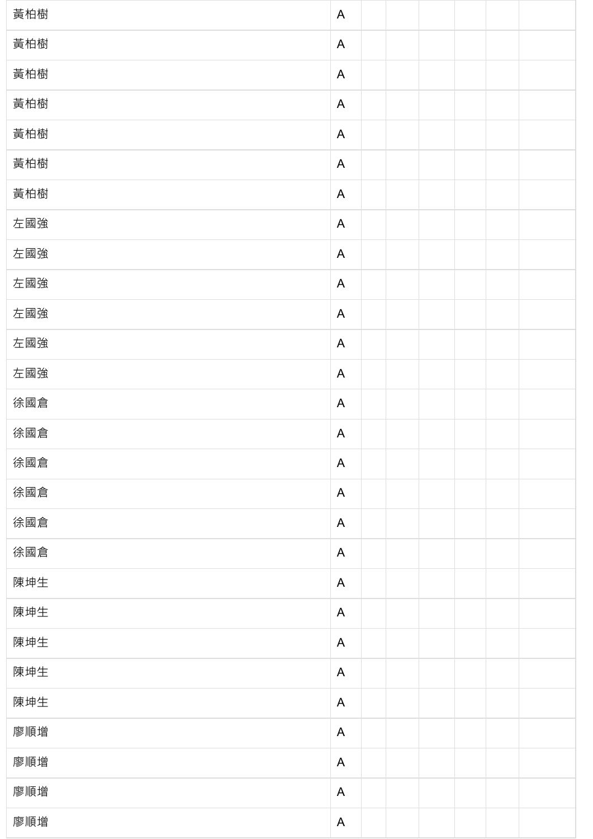| 黃柏樹 | $\mathsf{A}$ |  |  |  |
|-----|--------------|--|--|--|
| 黃柏樹 | $\mathsf{A}$ |  |  |  |
| 黃柏樹 | $\mathsf{A}$ |  |  |  |
| 黃柏樹 | $\mathsf{A}$ |  |  |  |
| 黃柏樹 | $\mathsf{A}$ |  |  |  |
| 黃柏樹 | $\mathsf{A}$ |  |  |  |
| 黃柏樹 | $\mathsf{A}$ |  |  |  |
| 左國強 | $\mathsf{A}$ |  |  |  |
| 左國強 | $\mathsf{A}$ |  |  |  |
| 左國強 | $\mathsf{A}$ |  |  |  |
| 左國強 | $\mathsf{A}$ |  |  |  |
| 左國強 | $\mathsf{A}$ |  |  |  |
| 左國強 | $\mathsf{A}$ |  |  |  |
| 徐國倉 | $\mathsf{A}$ |  |  |  |
| 徐國倉 | $\mathsf{A}$ |  |  |  |
| 徐國倉 | $\mathsf{A}$ |  |  |  |
| 徐國倉 | $\mathsf{A}$ |  |  |  |
| 徐國倉 | $\mathsf{A}$ |  |  |  |
| 徐國倉 | $\mathsf{A}$ |  |  |  |
| 陳坤生 | $\mathsf{A}$ |  |  |  |
| 陳坤生 | $\mathsf{A}$ |  |  |  |
| 陳坤生 | $\mathsf{A}$ |  |  |  |
| 陳坤生 | $\mathsf{A}$ |  |  |  |
| 陳坤生 | $\mathsf{A}$ |  |  |  |
| 廖順增 | $\mathsf{A}$ |  |  |  |
| 廖順增 | $\mathsf{A}$ |  |  |  |
| 廖順增 | $\mathsf{A}$ |  |  |  |
| 廖順增 | $\mathsf{A}$ |  |  |  |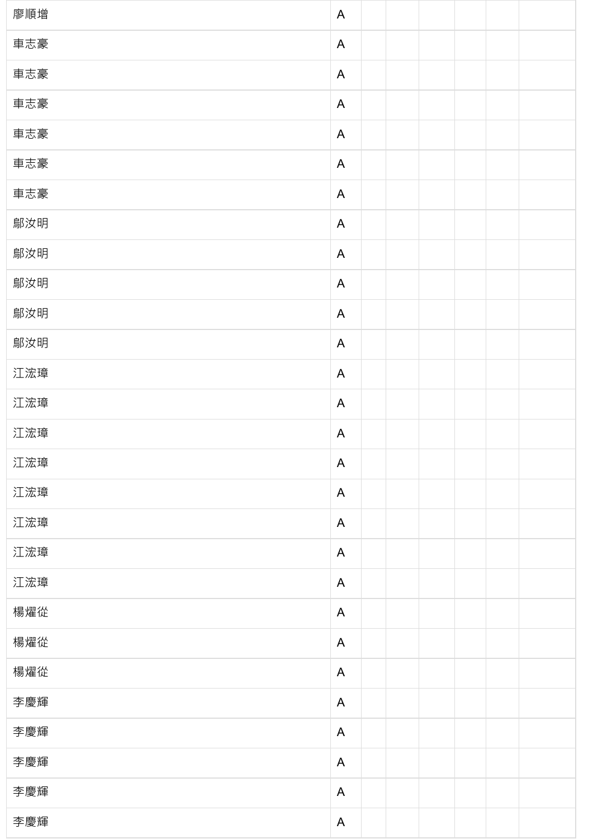| 廖順增 | $\mathsf{A}$ |  |  |  |
|-----|--------------|--|--|--|
| 車志豪 | $\mathsf{A}$ |  |  |  |
| 車志豪 | $\mathsf{A}$ |  |  |  |
| 車志豪 | $\mathsf{A}$ |  |  |  |
| 車志豪 | $\mathsf{A}$ |  |  |  |
| 車志豪 | $\mathsf{A}$ |  |  |  |
| 車志豪 | $\mathsf{A}$ |  |  |  |
| 鄔汝明 | $\mathsf{A}$ |  |  |  |
| 鄔汝明 | $\mathsf{A}$ |  |  |  |
| 鄔汝明 | $\mathsf{A}$ |  |  |  |
| 鄔汝明 | $\mathsf{A}$ |  |  |  |
| 鄔汝明 | $\mathsf{A}$ |  |  |  |
| 江浤璋 | $\mathsf{A}$ |  |  |  |
| 江浤璋 | $\mathsf{A}$ |  |  |  |
| 江浤璋 | $\mathsf{A}$ |  |  |  |
| 江浤璋 | $\mathsf{A}$ |  |  |  |
| 江浤璋 | $\mathsf{A}$ |  |  |  |
| 江浤璋 | $\mathsf{A}$ |  |  |  |
| 江浤璋 | $\mathsf{A}$ |  |  |  |
| 江浤璋 | $\mathsf{A}$ |  |  |  |
| 楊燿從 | $\mathsf{A}$ |  |  |  |
| 楊燿從 | $\mathsf{A}$ |  |  |  |
| 楊燿從 | $\mathsf{A}$ |  |  |  |
| 李慶輝 | $\mathsf{A}$ |  |  |  |
| 李慶輝 | $\mathsf{A}$ |  |  |  |
| 李慶輝 | $\mathsf{A}$ |  |  |  |
| 李慶輝 | $\mathsf{A}$ |  |  |  |
| 李慶輝 | $\mathsf{A}$ |  |  |  |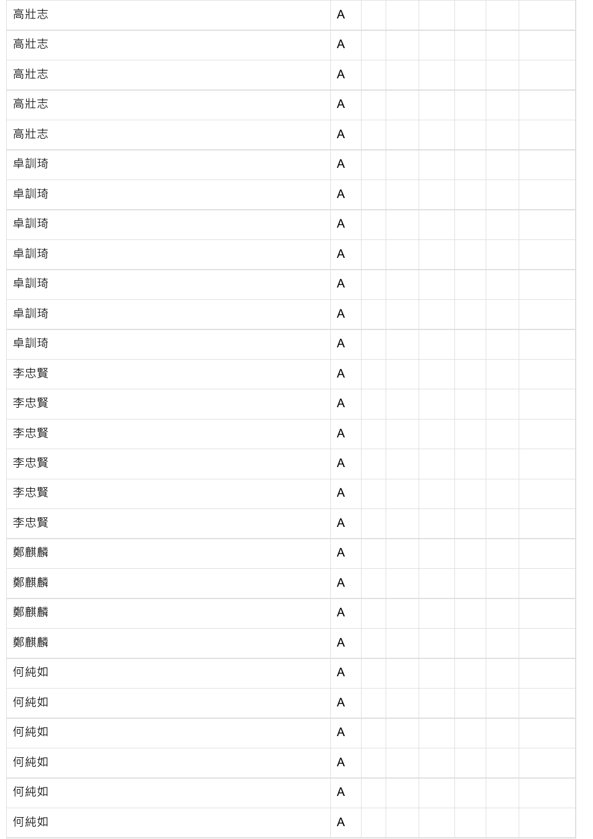| 高壯志 | $\mathsf{A}$ |  |  |  |
|-----|--------------|--|--|--|
| 高壯志 | $\mathsf{A}$ |  |  |  |
| 高壯志 | $\mathsf{A}$ |  |  |  |
| 高壯志 | $\mathsf{A}$ |  |  |  |
| 高壯志 | $\mathsf{A}$ |  |  |  |
| 卓訓琦 | $\mathsf{A}$ |  |  |  |
| 卓訓琦 | $\mathsf{A}$ |  |  |  |
| 卓訓琦 | $\mathsf{A}$ |  |  |  |
| 卓訓琦 | $\mathsf{A}$ |  |  |  |
| 卓訓琦 | $\mathsf{A}$ |  |  |  |
| 卓訓琦 | $\mathsf{A}$ |  |  |  |
| 卓訓琦 | $\mathsf{A}$ |  |  |  |
| 李忠賢 | $\mathsf{A}$ |  |  |  |
| 李忠賢 | $\mathsf{A}$ |  |  |  |
| 李忠賢 | $\mathsf{A}$ |  |  |  |
| 李忠賢 | $\mathsf{A}$ |  |  |  |
| 李忠賢 | $\mathsf{A}$ |  |  |  |
| 李忠賢 | $\mathsf{A}$ |  |  |  |
| 鄭麒麟 | $\mathsf{A}$ |  |  |  |
| 鄭麒麟 | $\mathsf{A}$ |  |  |  |
| 鄭麒麟 | $\mathsf{A}$ |  |  |  |
| 鄭麒麟 | $\mathsf{A}$ |  |  |  |
| 何純如 | $\mathsf{A}$ |  |  |  |
| 何純如 | $\mathsf{A}$ |  |  |  |
| 何純如 | $\mathsf{A}$ |  |  |  |
| 何純如 | $\mathsf{A}$ |  |  |  |
| 何純如 | $\mathsf{A}$ |  |  |  |
| 何純如 | $\mathsf{A}$ |  |  |  |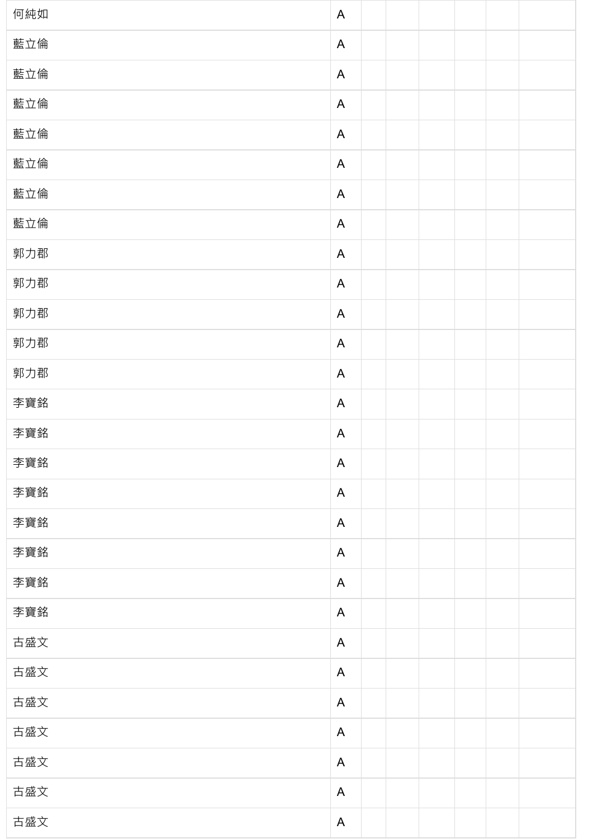| 何純如 | $\mathsf{A}$              |  |  |  |
|-----|---------------------------|--|--|--|
| 藍立倫 | A                         |  |  |  |
| 藍立倫 | $\mathsf{A}$              |  |  |  |
| 藍立倫 | A                         |  |  |  |
| 藍立倫 | $\mathsf{A}$              |  |  |  |
| 藍立倫 | A                         |  |  |  |
| 藍立倫 | $\mathsf{A}$              |  |  |  |
| 藍立倫 | $\mathsf{A}$              |  |  |  |
| 郭力郡 | $\mathsf{A}$              |  |  |  |
| 郭力郡 | A                         |  |  |  |
| 郭力郡 | $\mathsf{A}$              |  |  |  |
| 郭力郡 | A                         |  |  |  |
| 郭力郡 | $\mathsf{A}$              |  |  |  |
| 李寶銘 | A                         |  |  |  |
| 李寶銘 | $\boldsymbol{\mathsf{A}}$ |  |  |  |
| 李寶銘 | A                         |  |  |  |
| 李寶銘 | A                         |  |  |  |
| 李寶銘 | $\mathsf{A}$              |  |  |  |
| 李寶銘 | A                         |  |  |  |
| 李寶銘 | $\mathsf{A}$              |  |  |  |
| 李寶銘 | A                         |  |  |  |
| 古盛文 | $\mathsf{A}$              |  |  |  |
| 古盛文 | $\mathsf{A}$              |  |  |  |
| 古盛文 | $\mathsf{A}$              |  |  |  |
| 古盛文 | A                         |  |  |  |
| 古盛文 | $\mathsf{A}$              |  |  |  |
| 古盛文 | $\mathsf{A}$              |  |  |  |
| 古盛文 | A                         |  |  |  |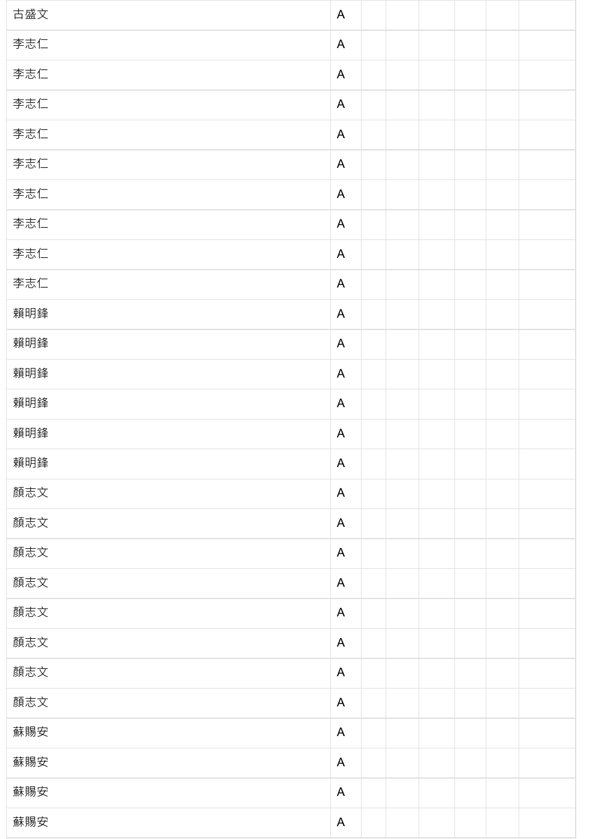| 古盛文 | $\mathsf{A}$ |  |  |  |
|-----|--------------|--|--|--|
| 李志仁 | $\mathsf{A}$ |  |  |  |
| 李志仁 | $\mathsf{A}$ |  |  |  |
| 李志仁 | $\mathsf{A}$ |  |  |  |
| 李志仁 | $\mathsf{A}$ |  |  |  |
| 李志仁 | $\mathsf{A}$ |  |  |  |
| 李志仁 | $\mathsf{A}$ |  |  |  |
| 李志仁 | $\mathsf{A}$ |  |  |  |
| 李志仁 | $\mathsf{A}$ |  |  |  |
| 李志仁 | $\mathsf{A}$ |  |  |  |
| 賴明鋒 | $\mathsf{A}$ |  |  |  |
| 賴明鋒 | $\mathsf{A}$ |  |  |  |
| 賴明鋒 | $\mathsf{A}$ |  |  |  |
| 賴明鋒 | $\mathsf{A}$ |  |  |  |
| 賴明鋒 | $\mathsf{A}$ |  |  |  |
| 賴明鋒 | $\mathsf{A}$ |  |  |  |
| 顏志文 | $\mathsf{A}$ |  |  |  |
| 顏志文 | $\mathsf{A}$ |  |  |  |
| 顏志文 | $\mathsf{A}$ |  |  |  |
| 顏志文 | $\mathsf{A}$ |  |  |  |
| 顏志文 | $\mathsf{A}$ |  |  |  |
| 顏志文 | $\mathsf{A}$ |  |  |  |
| 顏志文 | $\mathsf{A}$ |  |  |  |
| 顏志文 | $\mathsf{A}$ |  |  |  |
| 蘇賜安 | $\mathsf{A}$ |  |  |  |
| 蘇賜安 | $\mathsf{A}$ |  |  |  |
| 蘇賜安 | $\mathsf{A}$ |  |  |  |
| 蘇賜安 | $\mathsf{A}$ |  |  |  |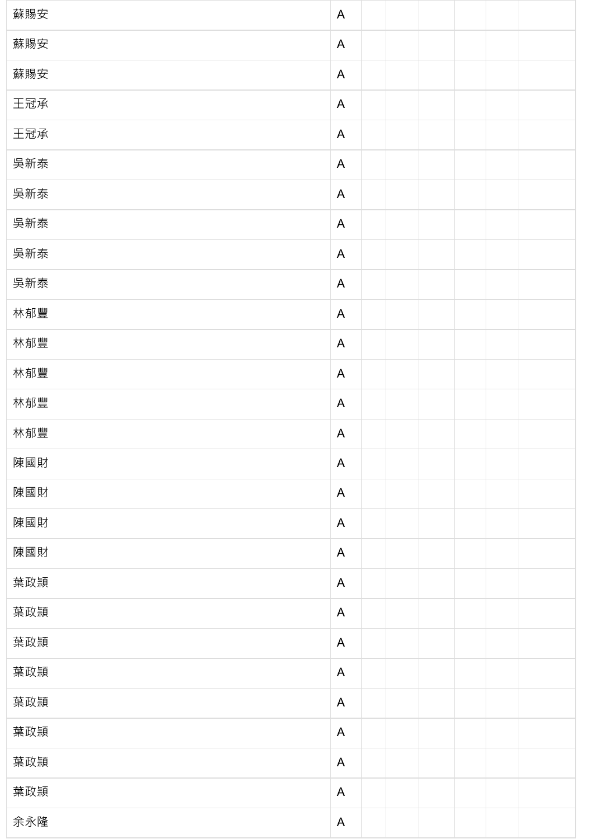| 蘇賜安 | $\mathsf{A}$ |  |  |  |
|-----|--------------|--|--|--|
| 蘇賜安 | $\mathsf{A}$ |  |  |  |
| 蘇賜安 | $\mathsf{A}$ |  |  |  |
| 王冠承 | $\mathsf{A}$ |  |  |  |
| 王冠承 | $\mathsf{A}$ |  |  |  |
| 吳新泰 | $\mathsf{A}$ |  |  |  |
| 吳新泰 | $\mathsf{A}$ |  |  |  |
| 吳新泰 | $\mathsf{A}$ |  |  |  |
| 吳新泰 | $\mathsf{A}$ |  |  |  |
| 吳新泰 | $\mathsf{A}$ |  |  |  |
| 林郁豐 | $\mathsf{A}$ |  |  |  |
| 林郁豐 | $\mathsf{A}$ |  |  |  |
| 林郁豐 | $\mathsf{A}$ |  |  |  |
| 林郁豐 | $\mathsf{A}$ |  |  |  |
| 林郁豐 | $\mathsf{A}$ |  |  |  |
| 陳國財 | $\mathsf{A}$ |  |  |  |
| 陳國財 | $\mathsf{A}$ |  |  |  |
| 陳國財 | $\mathsf{A}$ |  |  |  |
| 陳國財 | $\mathsf{A}$ |  |  |  |
| 葉政頴 | $\mathsf{A}$ |  |  |  |
| 葉政頴 | $\mathsf{A}$ |  |  |  |
| 葉政頴 | $\mathsf{A}$ |  |  |  |
| 葉政頴 | $\mathsf{A}$ |  |  |  |
| 葉政頴 | $\mathsf{A}$ |  |  |  |
| 葉政頴 | $\mathsf{A}$ |  |  |  |
| 葉政頴 | $\mathsf{A}$ |  |  |  |
| 葉政頴 | $\mathsf{A}$ |  |  |  |
| 余永隆 | $\mathsf{A}$ |  |  |  |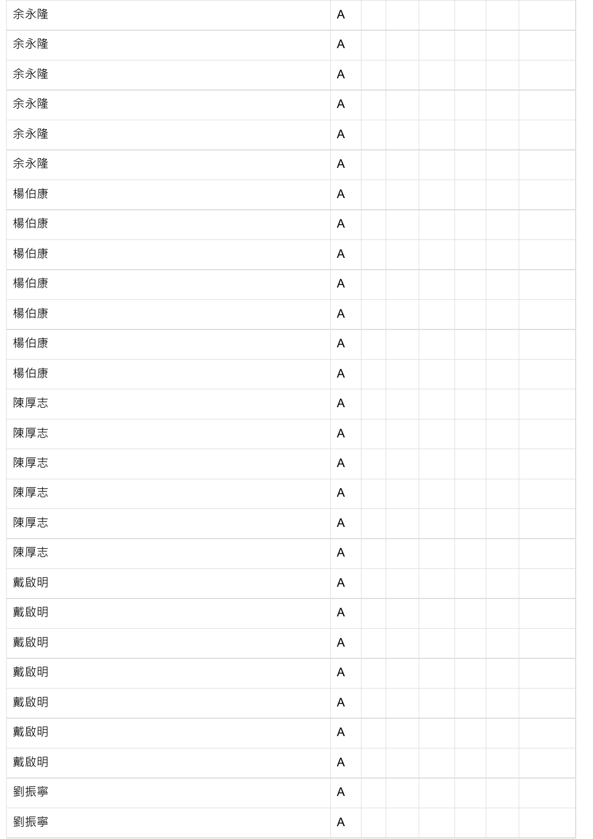| 余永隆 | $\mathsf{A}$              |  |  |  |
|-----|---------------------------|--|--|--|
| 余永隆 | A                         |  |  |  |
| 余永隆 | $\mathsf{A}$              |  |  |  |
| 余永隆 | A                         |  |  |  |
| 余永隆 | $\mathsf{A}$              |  |  |  |
| 余永隆 | A                         |  |  |  |
| 楊伯康 | $\mathsf{A}$              |  |  |  |
| 楊伯康 | A                         |  |  |  |
| 楊伯康 | $\mathsf{A}$              |  |  |  |
| 楊伯康 | A                         |  |  |  |
| 楊伯康 | $\mathsf{A}$              |  |  |  |
| 楊伯康 | A                         |  |  |  |
| 楊伯康 | $\mathsf{A}$              |  |  |  |
| 陳厚志 | A                         |  |  |  |
| 陳厚志 | A                         |  |  |  |
| 陳厚志 | $\mathsf{A}$              |  |  |  |
| 陳厚志 | A                         |  |  |  |
| 陳厚志 | $\mathsf{A}$              |  |  |  |
| 陳厚志 | A                         |  |  |  |
| 戴啟明 | $\mathsf{A}$              |  |  |  |
| 戴啟明 | A                         |  |  |  |
| 戴啟明 | $\mathsf{A}$              |  |  |  |
| 戴啟明 | A                         |  |  |  |
| 戴啟明 | $\boldsymbol{\mathsf{A}}$ |  |  |  |
| 戴啟明 | A                         |  |  |  |
| 戴啟明 | $\boldsymbol{\mathsf{A}}$ |  |  |  |
| 劉振寧 | A                         |  |  |  |
| 劉振寧 | $\boldsymbol{\mathsf{A}}$ |  |  |  |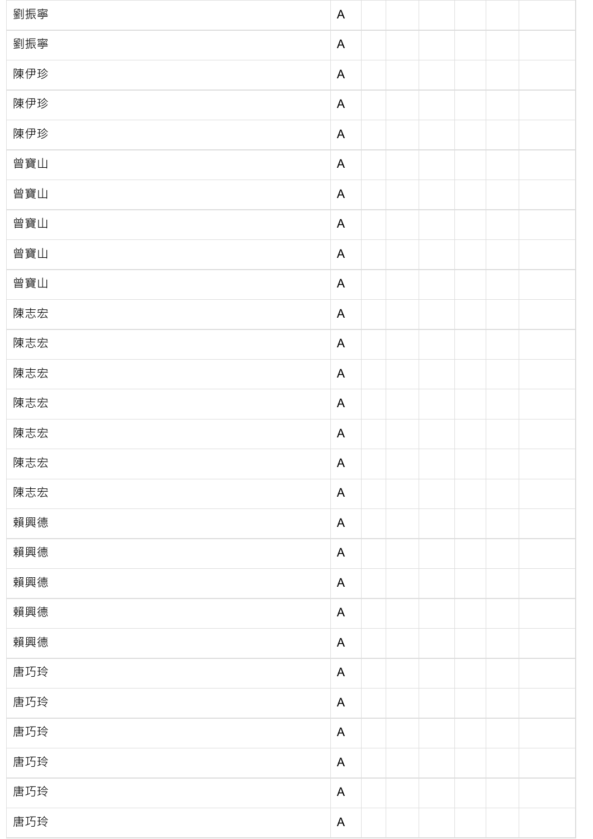| 劉振寧 | $\mathsf{A}$ |
|-----|--------------|
| 劉振寧 | $\mathsf{A}$ |
| 陳伊珍 | $\mathsf{A}$ |
| 陳伊珍 | $\mathsf{A}$ |
| 陳伊珍 | $\mathsf{A}$ |
| 曾寶山 | $\mathsf{A}$ |
| 曾寶山 | $\mathsf{A}$ |
| 曾寶山 | $\mathsf{A}$ |
| 曾寶山 | $\mathsf{A}$ |
| 曾寶山 | $\mathsf{A}$ |
| 陳志宏 | $\mathsf{A}$ |
| 陳志宏 | $\mathsf{A}$ |
| 陳志宏 | $\mathsf{A}$ |
| 陳志宏 | $\mathsf{A}$ |
| 陳志宏 | $\mathsf{A}$ |
| 陳志宏 | $\mathsf{A}$ |
| 陳志宏 | $\mathsf{A}$ |
| 賴興德 | $\mathsf{A}$ |
| 賴興德 | $\mathsf{A}$ |
| 賴興德 | $\mathsf{A}$ |
| 賴興德 | $\mathsf{A}$ |
| 賴興德 | $\mathsf{A}$ |
| 唐巧玲 | $\mathsf{A}$ |
| 唐巧玲 | $\mathsf{A}$ |
| 唐巧玲 | $\mathsf{A}$ |
| 唐巧玲 | $\mathsf{A}$ |
| 唐巧玲 | $\mathsf{A}$ |
| 唐巧玲 | $\mathsf{A}$ |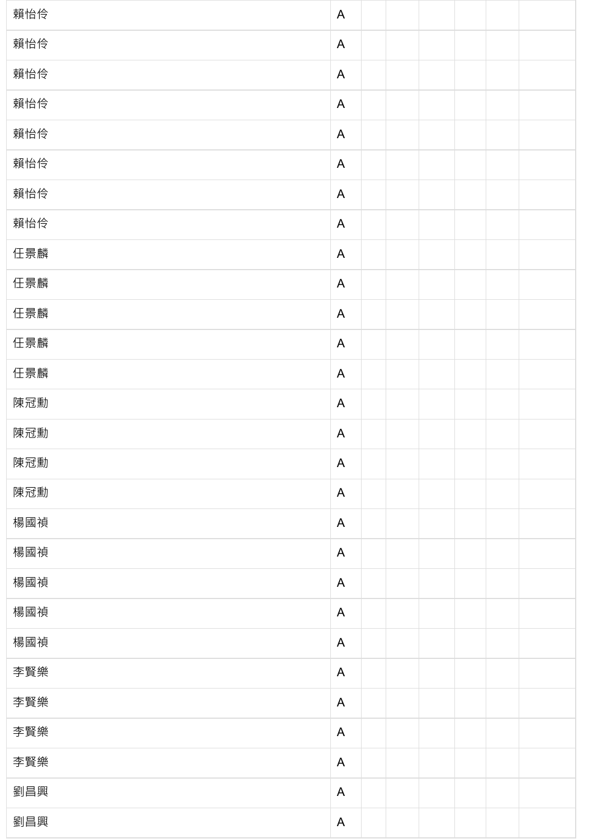| 賴怡伶 | $\mathsf{A}$ |  |  |  |
|-----|--------------|--|--|--|
| 賴怡伶 | $\mathsf{A}$ |  |  |  |
| 賴怡伶 | $\mathsf{A}$ |  |  |  |
| 賴怡伶 | $\mathsf{A}$ |  |  |  |
| 賴怡伶 | $\mathsf{A}$ |  |  |  |
| 賴怡伶 | $\mathsf{A}$ |  |  |  |
| 賴怡伶 | $\mathsf{A}$ |  |  |  |
| 賴怡伶 | $\mathsf{A}$ |  |  |  |
| 任景麟 | $\mathsf{A}$ |  |  |  |
| 任景麟 | $\mathsf{A}$ |  |  |  |
| 任景麟 | $\mathsf{A}$ |  |  |  |
| 任景麟 | $\mathsf{A}$ |  |  |  |
| 任景麟 | $\mathsf{A}$ |  |  |  |
| 陳冠勳 | $\mathsf{A}$ |  |  |  |
| 陳冠勳 | $\mathsf{A}$ |  |  |  |
| 陳冠勳 | $\mathsf{A}$ |  |  |  |
| 陳冠勳 | $\mathsf{A}$ |  |  |  |
| 楊國禎 | $\mathsf{A}$ |  |  |  |
| 楊國禎 | $\mathsf{A}$ |  |  |  |
| 楊國禎 | $\mathsf{A}$ |  |  |  |
| 楊國禎 | $\mathsf{A}$ |  |  |  |
| 楊國禎 | $\mathsf{A}$ |  |  |  |
| 李賢樂 | $\mathsf{A}$ |  |  |  |
| 李賢樂 | $\mathsf{A}$ |  |  |  |
| 李賢樂 | $\mathsf{A}$ |  |  |  |
| 李賢樂 | $\mathsf{A}$ |  |  |  |
| 劉昌興 | $\mathsf{A}$ |  |  |  |
| 劉昌興 | $\mathsf{A}$ |  |  |  |